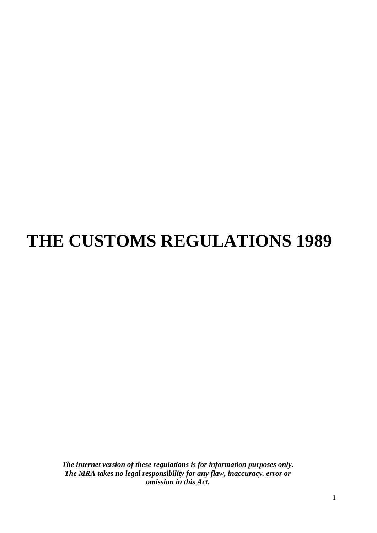# **THE CUSTOMS REGULATIONS 1989**

*The internet version of these regulations is for information purposes only. The MRA takes no legal responsibility for any flaw, inaccuracy, error or omission in this Act.*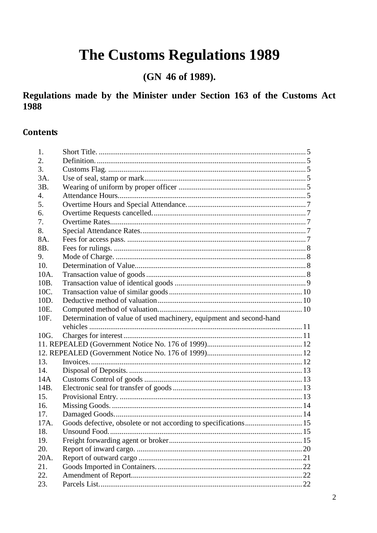# The Customs Regulations 1989

(GN 46 of 1989).

Regulations made by the Minister under Section 163 of the Customs Act 1988

### <span id="page-1-0"></span>**Contents**

| 1.               |                                                                     |  |
|------------------|---------------------------------------------------------------------|--|
| 2.               |                                                                     |  |
| 3.               |                                                                     |  |
|                  |                                                                     |  |
| 3A.              |                                                                     |  |
| 3B.              |                                                                     |  |
| $\overline{4}$ . |                                                                     |  |
| 5.               |                                                                     |  |
| 6.               |                                                                     |  |
| 7.               |                                                                     |  |
| 8.               |                                                                     |  |
| 8A.              |                                                                     |  |
| 8B.              |                                                                     |  |
| 9.               |                                                                     |  |
| 10.              |                                                                     |  |
| 10A.             |                                                                     |  |
| 10B.             |                                                                     |  |
| 10C.             |                                                                     |  |
| 10D.             |                                                                     |  |
| 10E.             |                                                                     |  |
| 10F.             | Determination of value of used machinery, equipment and second-hand |  |
|                  |                                                                     |  |
| 10G.             |                                                                     |  |
|                  |                                                                     |  |
|                  |                                                                     |  |
| 13.              |                                                                     |  |
| 14.              |                                                                     |  |
| 14A              |                                                                     |  |
| 14B.             |                                                                     |  |
| 15.              |                                                                     |  |
| 16.              |                                                                     |  |
| 17.              |                                                                     |  |
| 17A.             | Goods defective, obsolete or not according to specifications 15     |  |
| 18.              |                                                                     |  |
| 19.              |                                                                     |  |
| 20.              |                                                                     |  |
| 20A.             |                                                                     |  |
| 21.              |                                                                     |  |
| 22.              |                                                                     |  |
| 23.              |                                                                     |  |
|                  |                                                                     |  |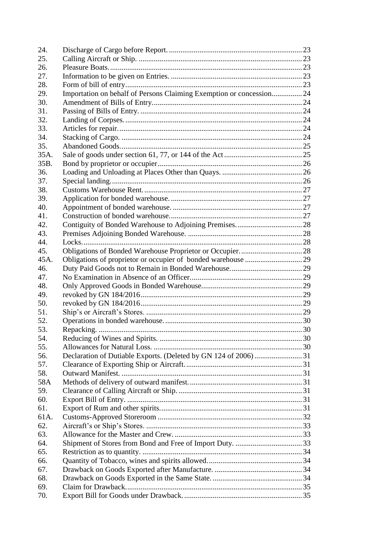| 24.  |                                                                      |  |
|------|----------------------------------------------------------------------|--|
| 25.  |                                                                      |  |
| 26.  |                                                                      |  |
| 27.  |                                                                      |  |
| 28.  |                                                                      |  |
| 29.  | Importation on behalf of Persons Claiming Exemption or concession 24 |  |
| 30.  |                                                                      |  |
| 31.  |                                                                      |  |
| 32.  |                                                                      |  |
| 33.  |                                                                      |  |
| 34.  |                                                                      |  |
| 35.  |                                                                      |  |
| 35A. |                                                                      |  |
| 35B. |                                                                      |  |
| 36.  |                                                                      |  |
| 37.  |                                                                      |  |
| 38.  |                                                                      |  |
| 39.  |                                                                      |  |
| 40.  |                                                                      |  |
| 41.  |                                                                      |  |
| 42.  |                                                                      |  |
| 43.  |                                                                      |  |
| 44.  |                                                                      |  |
| 45.  |                                                                      |  |
| 45A. |                                                                      |  |
| 46.  |                                                                      |  |
| 47.  |                                                                      |  |
|      |                                                                      |  |
| 48.  |                                                                      |  |
| 49.  |                                                                      |  |
| 50.  |                                                                      |  |
| 51.  |                                                                      |  |
| 52.  |                                                                      |  |
| 53.  |                                                                      |  |
| 54.  |                                                                      |  |
| 55.  |                                                                      |  |
| 56.  |                                                                      |  |
| 57.  |                                                                      |  |
| 58.  |                                                                      |  |
| 58A  |                                                                      |  |
| 59.  |                                                                      |  |
| 60.  |                                                                      |  |
| 61.  |                                                                      |  |
| 61A. |                                                                      |  |
| 62.  |                                                                      |  |
| 63.  |                                                                      |  |
| 64.  |                                                                      |  |
| 65.  |                                                                      |  |
| 66.  |                                                                      |  |
| 67.  |                                                                      |  |
| 68.  |                                                                      |  |
| 69.  |                                                                      |  |
| 70.  |                                                                      |  |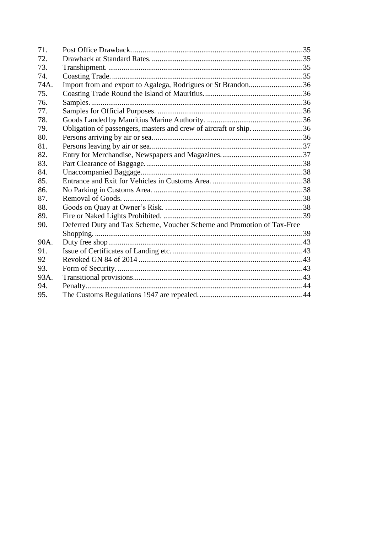| 71.  |                                                                        |  |
|------|------------------------------------------------------------------------|--|
| 72.  |                                                                        |  |
| 73.  |                                                                        |  |
| 74.  |                                                                        |  |
| 74A. | Import from and export to Agalega, Rodrigues or St Brandon36           |  |
| 75.  |                                                                        |  |
| 76.  |                                                                        |  |
| 77.  |                                                                        |  |
| 78.  |                                                                        |  |
| 79.  | Obligation of passengers, masters and crew of aircraft or ship.  36    |  |
| 80.  |                                                                        |  |
| 81.  |                                                                        |  |
| 82.  |                                                                        |  |
| 83.  |                                                                        |  |
| 84.  |                                                                        |  |
| 85.  |                                                                        |  |
| 86.  |                                                                        |  |
| 87.  |                                                                        |  |
| 88.  |                                                                        |  |
| 89.  |                                                                        |  |
| 90.  | Deferred Duty and Tax Scheme, Voucher Scheme and Promotion of Tax-Free |  |
|      |                                                                        |  |
| 90A. |                                                                        |  |
| 91.  |                                                                        |  |
| 92   |                                                                        |  |
| 93.  |                                                                        |  |
| 93A. |                                                                        |  |
| 94.  |                                                                        |  |
| 95.  |                                                                        |  |
|      |                                                                        |  |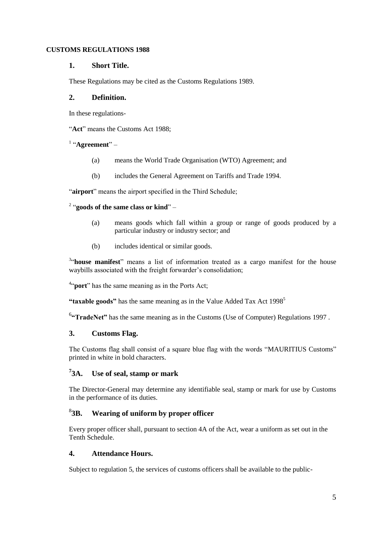#### <span id="page-4-0"></span>**CUSTOMS REGULATIONS 1988**

#### **1. Short Title.**

These Regulations may be cited as the Customs Regulations 1989.

#### <span id="page-4-1"></span>**2. Definition.**

In these regulations-

"Act" means the Customs Act 1988:

#### <sup>1</sup> "Agreement" –

- (a) means the World Trade Organisation (WTO) Agreement; and
- (b) includes the General Agreement on Tariffs and Trade 1994.

"airport" means the airport specified in the Third Schedule;

#### <sup>2</sup> "goods of the same class or kind" –

- (a) means goods which fall within a group or range of goods produced by a particular industry or industry sector; and
- (b) includes identical or similar goods.

<sup>3</sup>"house manifest" means a list of information treated as a cargo manifest for the house waybills associated with the freight forwarder's consolidation;

<sup>4"</sup>**port**" has the same meaning as in the Ports Act;

"taxable goods" has the same meaning as in the Value Added Tax Act 1998<sup>5</sup>

<sup>6</sup> **TradeNet**" has the same meaning as in the Customs (Use of Computer) Regulations 1997.

#### <span id="page-4-2"></span>**3. Customs Flag.**

The Customs flag shall consist of a square blue flag with the words "MAURITIUS Customs" printed in white in bold characters.

#### <span id="page-4-3"></span> $73A.$ **3A. Use of seal, stamp or mark**

The Director-General may determine any identifiable seal, stamp or mark for use by Customs in the performance of its duties.

#### <span id="page-4-4"></span> $83R$ . **3B. Wearing of uniform by proper officer**

Every proper officer shall, pursuant to section 4A of the Act, wear a uniform as set out in the Tenth Schedule.

#### <span id="page-4-5"></span>**4. Attendance Hours.**

Subject to regulation 5, the services of customs officers shall be available to the public-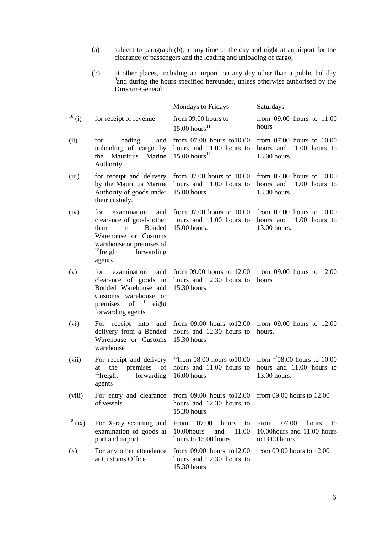- (a) subject to paragraph (b), at any time of the day and night at an airport for the clearance of passengers and the loading and unloading of cargo;
- (b) at other places, including an airport, on any day other than a public holiday 9 and during the hours specified hereunder, unless otherwise authorised by the Director-General:-

|              |                                                                                                                                                                                     | <b>Mondays to Fridays</b>                                                                            | Saturdays                                                                    |
|--------------|-------------------------------------------------------------------------------------------------------------------------------------------------------------------------------------|------------------------------------------------------------------------------------------------------|------------------------------------------------------------------------------|
| $^{10}$ (i)  | for receipt of revenue                                                                                                                                                              | from 09.00 hours to<br>$15.00$ hours <sup>11</sup>                                                   | from $09.00$ hours to $11.00$<br>hours                                       |
| (ii)         | loading<br>for<br>and<br>unloading of cargo by<br><b>Mauritius</b><br>Marine<br>the<br>Authority.                                                                                   | from $07.00$ hours to $10.00$<br>hours and 11.00 hours to<br>15.00 hours <sup>12</sup>               | from $07.00$ hours to $10.00$<br>hours and 11.00 hours to<br>13.00 hours     |
| (iii)        | for receipt and delivery<br>by the Mauritius Marine<br>Authority of goods under<br>their custody.                                                                                   | from $07.00$ hours to $10.00$<br>hours and 11.00 hours to<br>15.00 hours                             | from $07.00$ hours to $10.00$<br>hours and 11.00 hours to<br>13.00 hours     |
| (iv)         | examination<br>for<br>and<br>clearance of goods other<br><b>Bonded</b><br>than<br>in<br>Warehouse or Customs<br>warehouse or premises of<br>$^{13}$ freight<br>forwarding<br>agents | from $07.00$ hours to $10.00$<br>hours and 11.00 hours to<br>15.00 hours.                            | from $07.00$ hours to $10.00$<br>hours and 11.00 hours to<br>13.00 hours.    |
| (v)          | examination<br>for<br>and<br>Bonded Warehouse and<br>Customs warehouse or<br>of $^{14}$ freight<br>premises<br>forwarding agents                                                    | from $09.00$ hours to $12.00$<br>clearance of goods in hours and 12.30 hours to<br>15.30 hours       | from $09.00$ hours to $12.00$<br>hours                                       |
| (vi)         | For receipt into<br>and<br>delivery from a Bonded<br>Warehouse or Customs<br>warehouse                                                                                              | from $09.00$ hours to $12.00$<br>hours and 12.30 hours to<br>15.30 hours                             | from $09.00$ hours to $12.00$<br>hours.                                      |
| (vii)        | the<br>premises<br>of<br>at<br>$15$ freight<br>forwarding<br>agents                                                                                                                 | For receipt and delivery $16$ from 08.00 hours to 10.00<br>hours and 11.00 hours to<br>$16.00$ hours | from $1708.00$ hours to 10.00<br>hours and 11.00 hours to<br>13.00 hours.    |
| (viii)       | For entry and clearance<br>of vessels                                                                                                                                               | from $09.00$ hours to $12.00$<br>hours and 12.30 hours to<br>15.30 hours                             | from $09.00$ hours to $12.00$                                                |
| $^{18}$ (ix) | For X-ray scanning and<br>examination of goods at<br>port and airport                                                                                                               | 07.00<br>From<br>hours<br>to<br>10.00 hours<br>and<br>11.00<br>hours to 15.00 hours                  | 07.00<br>From<br>hours<br>to<br>10.00 hours and 11.00 hours<br>to13.00 hours |
| (x)          | For any other attendance<br>at Customs Office                                                                                                                                       | from $09.00$ hours to $12.00$<br>hours and 12.30 hours to<br>15.30 hours                             | from 09.00 hours to 12.00                                                    |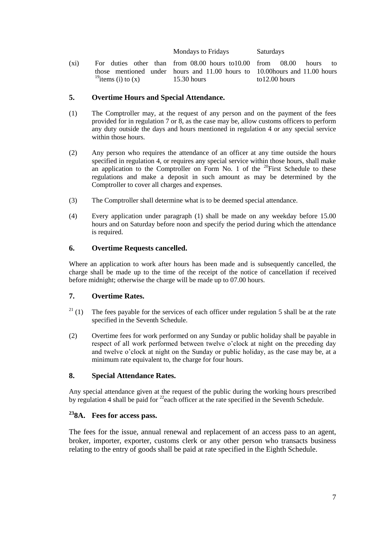Mondays to Fridays Saturdays

(xi) For duties other than from 08.00 hours to10.00 those mentioned under  $^{19}$ items (i) to (x) hours and 11.00 hours to 15.30 hours  $08.00$  hours to 10.00hours and 11.00 hours to12.00 hours

#### <span id="page-6-0"></span>**5. Overtime Hours and Special Attendance.**

- (1) The Comptroller may, at the request of any person and on the payment of the fees provided for in regulation 7 or 8, as the case may be, allow customs officers to perform any duty outside the days and hours mentioned in regulation 4 or any special service within those hours.
- (2) Any person who requires the attendance of an officer at any time outside the hours specified in regulation 4, or requires any special service within those hours, shall make an application to the Comptroller on Form No. 1 of the  $^{20}$ First Schedule to these regulations and make a deposit in such amount as may be determined by the Comptroller to cover all charges and expenses.
- (3) The Comptroller shall determine what is to be deemed special attendance.
- (4) Every application under paragraph (1) shall be made on any weekday before 15.00 hours and on Saturday before noon and specify the period during which the attendance is required.

#### <span id="page-6-1"></span>**6. Overtime Requests cancelled.**

Where an application to work after hours has been made and is subsequently cancelled, the charge shall be made up to the time of the receipt of the notice of cancellation if received before midnight; otherwise the charge will be made up to 07.00 hours.

#### <span id="page-6-2"></span>**7. Overtime Rates.**

- <sup>21</sup> (1) The fees payable for the services of each officer under regulation 5 shall be at the rate specified in the Seventh Schedule.
- (2) Overtime fees for work performed on any Sunday or public holiday shall be payable in respect of all work performed between twelve o'clock at night on the preceding day and twelve o'clock at night on the Sunday or public holiday, as the case may be, at a minimum rate equivalent to, the charge for four hours.

#### <span id="page-6-3"></span>**8. Special Attendance Rates.**

Any special attendance given at the request of the public during the working hours prescribed by regulation 4 shall be paid for  $^{22}$  each officer at the rate specified in the Seventh Schedule.

#### <span id="page-6-4"></span>**<sup>23</sup>8A. Fees for access pass.**

The fees for the issue, annual renewal and replacement of an access pass to an agent, broker, importer, exporter, customs clerk or any other person who transacts business relating to the entry of goods shall be paid at rate specified in the Eighth Schedule.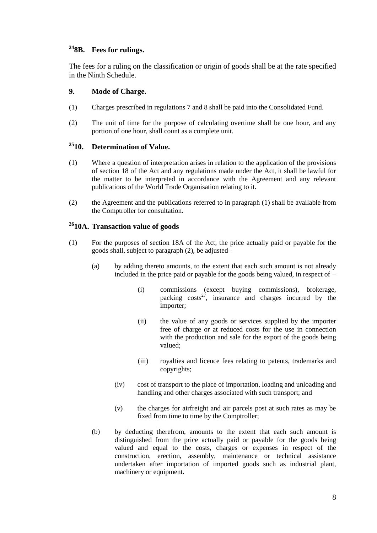### <span id="page-7-0"></span>**<sup>24</sup>8B. Fees for rulings.**

The fees for a ruling on the classification or origin of goods shall be at the rate specified in the Ninth Schedule.

#### <span id="page-7-1"></span>**9. Mode of Charge.**

- (1) Charges prescribed in regulations 7 and 8 shall be paid into the Consolidated Fund.
- (2) The unit of time for the purpose of calculating overtime shall be one hour, and any portion of one hour, shall count as a complete unit.

### <span id="page-7-2"></span>**<sup>25</sup>10. Determination of Value.**

- (1) Where a question of interpretation arises in relation to the application of the provisions of section 18 of the Act and any regulations made under the Act, it shall be lawful for the matter to be interpreted in accordance with the Agreement and any relevant publications of the World Trade Organisation relating to it.
- (2) the Agreement and the publications referred to in paragraph (1) shall be available from the Comptroller for consultation.

#### <span id="page-7-3"></span>**<sup>26</sup>10A. Transaction value of goods**

- (1) For the purposes of section 18A of the Act, the price actually paid or payable for the goods shall, subject to paragraph (2), be adjusted–
	- (a) by adding thereto amounts, to the extent that each such amount is not already included in the price paid or payable for the goods being valued, in respect of –
		- (i) commissions (except buying commissions), brokerage, packing  $costs^{27}$ , insurance and charges incurred by the importer;
		- (ii) the value of any goods or services supplied by the importer free of charge or at reduced costs for the use in connection with the production and sale for the export of the goods being valued;
		- (iii) royalties and licence fees relating to patents, trademarks and copyrights;
		- (iv) cost of transport to the place of importation, loading and unloading and handling and other charges associated with such transport; and
		- (v) the charges for airfreight and air parcels post at such rates as may be fixed from time to time by the Comptroller;
	- (b) by deducting therefrom, amounts to the extent that each such amount is distinguished from the price actually paid or payable for the goods being valued and equal to the costs, charges or expenses in respect of the construction, erection, assembly, maintenance or technical assistance undertaken after importation of imported goods such as industrial plant, machinery or equipment.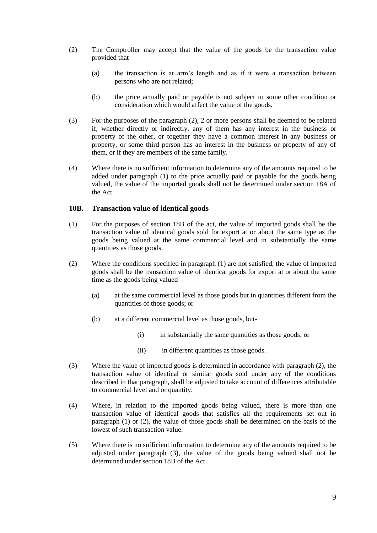- (2) The Comptroller may accept that the value of the goods be the transaction value provided that –
	- (a) the transaction is at arm's length and as if it were a transaction between persons who are not related;
	- (b) the price actually paid or payable is not subject to some other condition or consideration which would affect the value of the goods.
- (3) For the purposes of the paragraph (2), 2 or more persons shall be deemed to be related if, whether directly or indirectly, any of them has any interest in the business or property of the other, or together they have a common interest in any business or property, or some third person has an interest in the business or property of any of them, or if they are members of the same family.
- (4) Where there is no sufficient information to determine any of the amounts required to be added under paragraph (1) to the price actually paid or payable for the goods being valued, the value of the imported goods shall not be determined under section 18A of the Act.

#### <span id="page-8-0"></span>**10B. Transaction value of identical goods**

- (1) For the purposes of section 18B of the act, the value of imported goods shall be the transaction value of identical goods sold for export at or about the same type as the goods being valued at the same commercial level and in substantially the same quantities as those goods.
- (2) Where the conditions specified in paragraph (1) are not satisfied, the value of imported goods shall be the transaction value of identical goods for export at or about the same time as the goods being valued –
	- (a) at the same commercial level as those goods but in quantities different from the quantities of those goods; or
	- (b) at a different commercial level as those goods, but-
		- (i) in substantially the same quantities as those goods; or
		- (ii) in different quantities as those goods.
- (3) Where the value of imported goods is determined in accordance with paragraph (2), the transaction value of identical or similar goods sold under any of the conditions described in that paragraph, shall be adjusted to take account of differences attributable to commercial level and or quantity.
- (4) Where, in relation to the imported goods being valued, there is more than one transaction value of identical goods that satisfies all the requirements set out in paragraph (1) or (2), the value of those goods shall be determined on the basis of the lowest of such transaction value.
- (5) Where there is no sufficient information to determine any of the amounts required to be adjusted under paragraph (3), the value of the goods being valued shall not be determined under section 18B of the Act.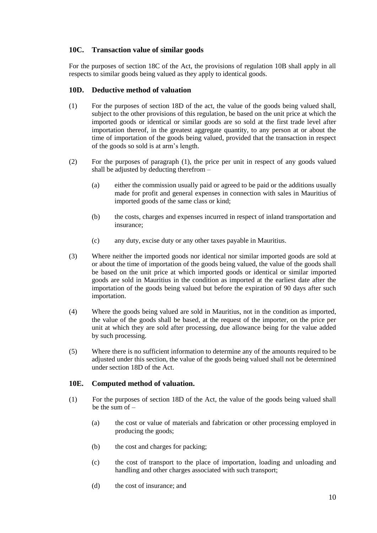#### <span id="page-9-0"></span>**10C. Transaction value of similar goods**

For the purposes of section 18C of the Act, the provisions of regulation 10B shall apply in all respects to similar goods being valued as they apply to identical goods.

#### <span id="page-9-1"></span>**10D. Deductive method of valuation**

- (1) For the purposes of section 18D of the act, the value of the goods being valued shall, subject to the other provisions of this regulation, be based on the unit price at which the imported goods or identical or similar goods are so sold at the first trade level after importation thereof, in the greatest aggregate quantity, to any person at or about the time of importation of the goods being valued, provided that the transaction in respect of the goods so sold is at arm's length.
- (2) For the purposes of paragraph (1), the price per unit in respect of any goods valued shall be adjusted by deducting therefrom –
	- (a) either the commission usually paid or agreed to be paid or the additions usually made for profit and general expenses in connection with sales in Mauritius of imported goods of the same class or kind;
	- (b) the costs, charges and expenses incurred in respect of inland transportation and insurance;
	- (c) any duty, excise duty or any other taxes payable in Mauritius.
- (3) Where neither the imported goods nor identical nor similar imported goods are sold at or about the time of importation of the goods being valued, the value of the goods shall be based on the unit price at which imported goods or identical or similar imported goods are sold in Mauritius in the condition as imported at the earliest date after the importation of the goods being valued but before the expiration of 90 days after such importation.
- (4) Where the goods being valued are sold in Mauritius, not in the condition as imported, the value of the goods shall be based, at the request of the importer, on the price per unit at which they are sold after processing, due allowance being for the value added by such processing.
- (5) Where there is no sufficient information to determine any of the amounts required to be adjusted under this section, the value of the goods being valued shall not be determined under section 18D of the Act.

#### <span id="page-9-2"></span>**10E. Computed method of valuation.**

- (1) For the purposes of section 18D of the Act, the value of the goods being valued shall be the sum of –
	- (a) the cost or value of materials and fabrication or other processing employed in producing the goods;
	- (b) the cost and charges for packing;
	- (c) the cost of transport to the place of importation, loading and unloading and handling and other charges associated with such transport;
	- (d) the cost of insurance; and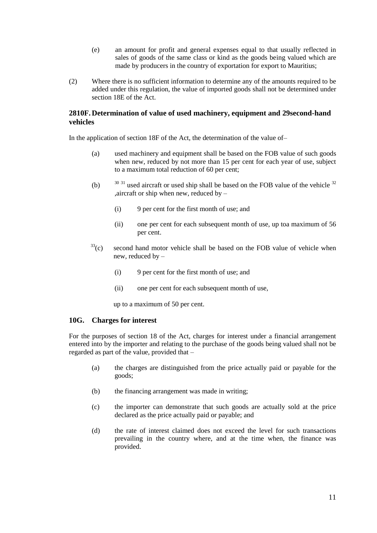- (e) an amount for profit and general expenses equal to that usually reflected in sales of goods of the same class or kind as the goods being valued which are made by producers in the country of exportation for export to Mauritius;
- (2) Where there is no sufficient information to determine any of the amounts required to be added under this regulation, the value of imported goods shall not be determined under section 18E of the Act.

#### <span id="page-10-0"></span>**2810F. Determination of value of used machinery, equipment and 29second-hand vehicles**

In the application of section 18F of the Act, the determination of the value of–

- (a) used machinery and equipment shall be based on the FOB value of such goods when new, reduced by not more than 15 per cent for each year of use, subject to a maximum total reduction of 60 per cent;
- (b)  $30\frac{31}{1}$  used aircraft or used ship shall be based on the FOB value of the vehicle  $32\frac{1}{1}$ ,aircraft or ship when new, reduced by –
	- (i) 9 per cent for the first month of use; and
	- (ii) one per cent for each subsequent month of use, up toa maximum of 56 per cent.
- $33$ <sup>33</sup>(c) second hand motor vehicle shall be based on the FOB value of vehicle when new, reduced by –
	- (i) 9 per cent for the first month of use; and
	- (ii) one per cent for each subsequent month of use,

up to a maximum of 50 per cent.

#### <span id="page-10-1"></span>**10G. Charges for interest**

For the purposes of section 18 of the Act, charges for interest under a financial arrangement entered into by the importer and relating to the purchase of the goods being valued shall not be regarded as part of the value, provided that –

- (a) the charges are distinguished from the price actually paid or payable for the goods;
- (b) the financing arrangement was made in writing;
- (c) the importer can demonstrate that such goods are actually sold at the price declared as the price actually paid or payable; and
- (d) the rate of interest claimed does not exceed the level for such transactions prevailing in the country where, and at the time when, the finance was provided.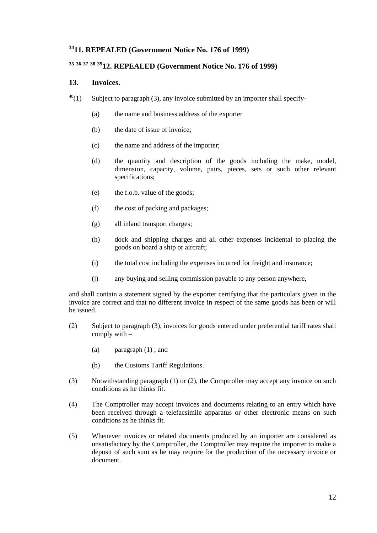### <span id="page-11-0"></span>**<sup>34</sup>11. REPEALED (Government Notice No. 176 of 1999)**

## <span id="page-11-1"></span>**<sup>35</sup> <sup>36</sup> <sup>37</sup> <sup>38</sup> <sup>39</sup>12. REPEALED (Government Notice No. 176 of 1999)**

#### <span id="page-11-2"></span>**13. Invoices.**

- $40(1)$  Subject to paragraph (3), any invoice submitted by an importer shall specify-
	- (a) the name and business address of the exporter
	- (b) the date of issue of invoice;
	- (c) the name and address of the importer;
	- (d) the quantity and description of the goods including the make, model, dimension, capacity, volume, pairs, pieces, sets or such other relevant specifications;
	- (e) the f.o.b. value of the goods;
	- (f) the cost of packing and packages;
	- (g) all inland transport charges;
	- (h) dock and shipping charges and all other expenses incidental to placing the goods on board a ship or aircraft;
	- (i) the total cost including the expenses incurred for freight and insurance;
	- (j) any buying and selling commission payable to any person anywhere,

and shall contain a statement signed by the exporter certifying that the particulars given in the invoice are correct and that no different invoice in respect of the same goods has been or will be issued.

- (2) Subject to paragraph (3), invoices for goods entered under preferential tariff rates shall comply with –
	- (a) paragraph (1) ; and
	- (b) the Customs Tariff Regulations.
- (3) Notwithstanding paragraph (1) or (2), the Comptroller may accept any invoice on such conditions as he thinks fit.
- (4) The Comptroller may accept invoices and documents relating to an entry which have been received through a telefacsimile apparatus or other electronic means on such conditions as he thinks fit.
- (5) Whenever invoices or related documents produced by an importer are considered as unsatisfactory by the Comptroller, the Comptroller may require the importer to make a deposit of such sum as he may require for the production of the necessary invoice or document.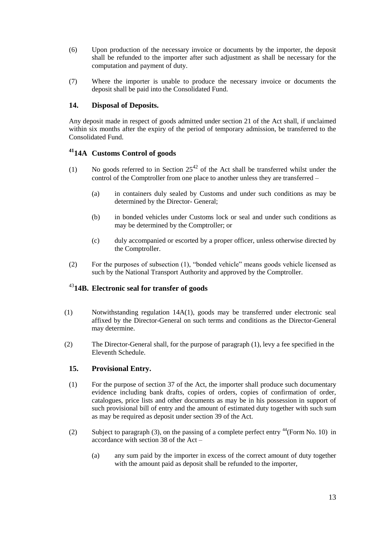- (6) Upon production of the necessary invoice or documents by the importer, the deposit shall be refunded to the importer after such adjustment as shall be necessary for the computation and payment of duty.
- (7) Where the importer is unable to produce the necessary invoice or documents the deposit shall be paid into the Consolidated Fund.

#### <span id="page-12-0"></span>**14. Disposal of Deposits.**

Any deposit made in respect of goods admitted under section 21 of the Act shall, if unclaimed within six months after the expiry of the period of temporary admission, be transferred to the Consolidated Fund.

#### <span id="page-12-1"></span>**<sup>41</sup>14A Customs Control of goods**

- (1) No goods referred to in Section  $25^{42}$  of the Act shall be transferred whilst under the control of the Comptroller from one place to another unless they are transferred –
	- (a) in containers duly sealed by Customs and under such conditions as may be determined by the Director- General;
	- (b) in bonded vehicles under Customs lock or seal and under such conditions as may be determined by the Comptroller; or
	- (c) duly accompanied or escorted by a proper officer, unless otherwise directed by the Comptroller.
- (2) For the purposes of subsection  $(1)$ , "bonded vehicle" means goods vehicle licensed as such by the National Transport Authority and approved by the Comptroller.

### <span id="page-12-2"></span><sup>43</sup>**14B. Electronic seal for transfer of goods**

- (1) Notwithstanding regulation 14A(1), goods may be transferred under electronic seal affixed by the Director-General on such terms and conditions as the Director-General may determine.
- <span id="page-12-3"></span>(2) The Director-General shall, for the purpose of paragraph (1), levy a fee specified in the Eleventh Schedule.

#### **15. Provisional Entry.**

- (1) For the purpose of section 37 of the Act, the importer shall produce such documentary evidence including bank drafts, copies of orders, copies of confirmation of order, catalogues, price lists and other documents as may be in his possession in support of such provisional bill of entry and the amount of estimated duty together with such sum as may be required as deposit under section 39 of the Act.
- (2) Subject to paragraph (3), on the passing of a complete perfect entry  $44$ (Form No. 10) in accordance with section 38 of the Act –
	- (a) any sum paid by the importer in excess of the correct amount of duty together with the amount paid as deposit shall be refunded to the importer,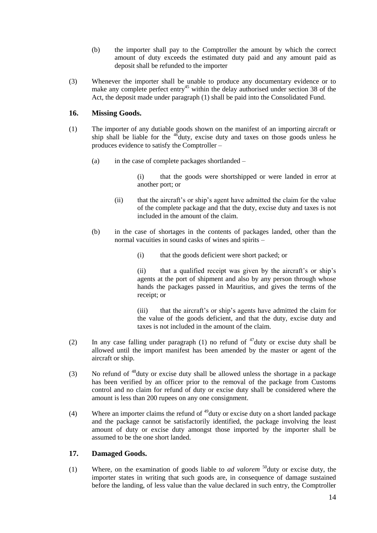- (b) the importer shall pay to the Comptroller the amount by which the correct amount of duty exceeds the estimated duty paid and any amount paid as deposit shall be refunded to the importer
- (3) Whenever the importer shall be unable to produce any documentary evidence or to make any complete perfect entry<sup>45</sup> within the delay authorised under section 38 of the Act, the deposit made under paragraph (1) shall be paid into the Consolidated Fund.

#### <span id="page-13-0"></span>**16. Missing Goods.**

- (1) The importer of any dutiable goods shown on the manifest of an importing aircraft or ship shall be liable for the  $46$  duty, excise duty and taxes on those goods unless he produces evidence to satisfy the Comptroller –
	- (a) in the case of complete packages shortlanded –

(i) that the goods were shortshipped or were landed in error at another port; or

- (ii) that the aircraft's or ship's agent have admitted the claim for the value of the complete package and that the duty, excise duty and taxes is not included in the amount of the claim.
- (b) in the case of shortages in the contents of packages landed, other than the normal vacuities in sound casks of wines and spirits –
	- (i) that the goods deficient were short packed; or

(ii) that a qualified receipt was given by the aircraft's or ship's agents at the port of shipment and also by any person through whose hands the packages passed in Mauritius, and gives the terms of the receipt; or

(iii) that the aircraft's or ship's agents have admitted the claim for the value of the goods deficient, and that the duty, excise duty and taxes is not included in the amount of the claim.

- (2) In any case falling under paragraph (1) no refund of  $47$  duty or excise duty shall be allowed until the import manifest has been amended by the master or agent of the aircraft or ship.
- (3) No refund of  $48$  duty or excise duty shall be allowed unless the shortage in a package has been verified by an officer prior to the removal of the package from Customs control and no claim for refund of duty or excise duty shall be considered where the amount is less than 200 rupees on any one consignment.
- (4) Where an importer claims the refund of  $49$  duty or excise duty on a short landed package and the package cannot be satisfactorily identified, the package involving the least amount of duty or excise duty amongst those imported by the importer shall be assumed to be the one short landed.

#### <span id="page-13-1"></span>**17. Damaged Goods.**

(1) Where, on the examination of goods liable to *ad valorem* <sup>50</sup>duty or excise duty, the importer states in writing that such goods are, in consequence of damage sustained before the landing, of less value than the value declared in such entry, the Comptroller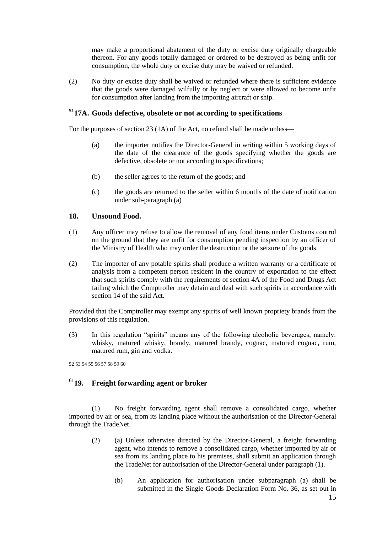may make a proportional abatement of the duty or excise duty originally chargeable thereon. For any goods totally damaged or ordered to be destroyed as being unfit for consumption, the whole duty or excise duty may be waived or refunded.

(2) No duty or excise duty shall be waived or refunded where there is sufficient evidence that the goods were damaged wilfully or by neglect or were allowed to become unfit for consumption after landing from the importing aircraft or ship.

#### <span id="page-14-0"></span>**<sup>51</sup>17A. Goods defective, obsolete or not according to specifications**

For the purposes of section 23 (1A) of the Act, no refund shall be made unless—

- (a) the importer notifies the Director-General in writing within 5 working days of the date of the clearance of the goods specifying whether the goods are defective, obsolete or not according to specifications;
- (b) the seller agrees to the return of the goods; and
- (c) the goods are returned to the seller within 6 months of the date of notification under sub-paragraph (a)

#### <span id="page-14-1"></span>**18. Unsound Food.**

- (1) Any officer may refuse to allow the removal of any food items under Customs control on the ground that they are unfit for consumption pending inspection by an officer of the Ministry of Health who may order the destruction or the seizure of the goods.
- (2) The importer of any potable spirits shall produce a written warranty or a certificate of analysis from a competent person resident in the country of exportation to the effect that such spirits comply with the requirements of section 4A of the Food and Drugs Act failing which the Comptroller may detain and deal with such spirits in accordance with section 14 of the said Act.

Provided that the Comptroller may exempt any spirits of well known propriety brands from the provisions of this regulation.

(3) In this regulation "spirits" means any of the following alcoholic beverages, namely: whisky, matured whisky, brandy, matured brandy, cognac, matured cognac, rum, matured rum, gin and vodka.

52 53 54 55 56 57 58 59 60

## <span id="page-14-2"></span><sup>61</sup>**19. Freight forwarding agent or broker**

(1) No freight forwarding agent shall remove a consolidated cargo, whether imported by air or sea, from its landing place without the authorisation of the Director-General through the TradeNet.

- (2) (a) Unless otherwise directed by the Director-General, a freight forwarding agent, who intends to remove a consolidated cargo, whether imported by air or sea from its landing place to his premises, shall submit an application through the TradeNet for authorisation of the Director-General under paragraph (1).
	- (b) An application for authorisation under subparagraph (a) shall be submitted in the Single Goods Declaration Form No. 36, as set out in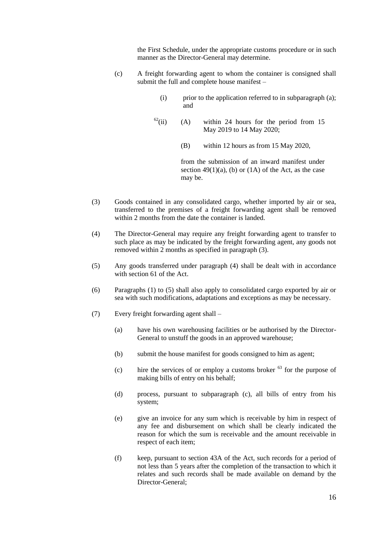the First Schedule, under the appropriate customs procedure or in such manner as the Director-General may determine.

- (c) A freight forwarding agent to whom the container is consigned shall submit the full and complete house manifest –
	- (i) prior to the application referred to in subparagraph (a); and
	- $^{62}$ (ii) (A) within 24 hours for the period from 15 May 2019 to 14 May 2020;
		- (B) within 12 hours as from 15 May 2020,

from the submission of an inward manifest under section  $49(1)(a)$ , (b) or (1A) of the Act, as the case may be.

- (3) Goods contained in any consolidated cargo, whether imported by air or sea, transferred to the premises of a freight forwarding agent shall be removed within 2 months from the date the container is landed.
- (4) The Director-General may require any freight forwarding agent to transfer to such place as may be indicated by the freight forwarding agent, any goods not removed within 2 months as specified in paragraph (3).
- (5) Any goods transferred under paragraph (4) shall be dealt with in accordance with section 61 of the Act.
- (6) Paragraphs (1) to (5) shall also apply to consolidated cargo exported by air or sea with such modifications, adaptations and exceptions as may be necessary.
- (7) Every freight forwarding agent shall
	- (a) have his own warehousing facilities or be authorised by the Director-General to unstuff the goods in an approved warehouse;
	- (b) submit the house manifest for goods consigned to him as agent;
	- (c) hire the services of or employ a customs broker  $^{63}$  for the purpose of making bills of entry on his behalf;
	- (d) process, pursuant to subparagraph (c), all bills of entry from his system;
	- (e) give an invoice for any sum which is receivable by him in respect of any fee and disbursement on which shall be clearly indicated the reason for which the sum is receivable and the amount receivable in respect of each item;
	- (f) keep, pursuant to section 43A of the Act, such records for a period of not less than 5 years after the completion of the transaction to which it relates and such records shall be made available on demand by the Director-General;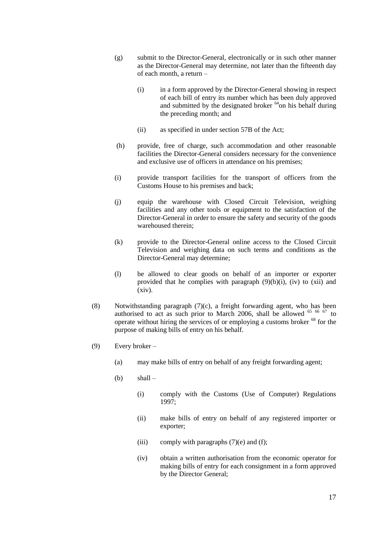- (g) submit to the Director-General, electronically or in such other manner as the Director-General may determine, not later than the fifteenth day of each month, a return –
	- (i) in a form approved by the Director-General showing in respect of each bill of entry its number which has been duly approved and submitted by the designated broker  $<sup>64</sup>$ on his behalf during</sup> the preceding month; and
	- (ii) as specified in under section 57B of the Act;
- (h) provide, free of charge, such accommodation and other reasonable facilities the Director-General considers necessary for the convenience and exclusive use of officers in attendance on his premises;
- (i) provide transport facilities for the transport of officers from the Customs House to his premises and back;
- (j) equip the warehouse with Closed Circuit Television, weighing facilities and any other tools or equipment to the satisfaction of the Director-General in order to ensure the safety and security of the goods warehoused therein;
- (k) provide to the Director-General online access to the Closed Circuit Television and weighing data on such terms and conditions as the Director-General may determine;
- (l) be allowed to clear goods on behalf of an importer or exporter provided that he complies with paragraph  $(9)(b)(i)$ , (iv) to (xii) and (xiv).
- (8) Notwithstanding paragraph (7)(c), a freight forwarding agent, who has been authorised to act as such prior to March 2006, shall be allowed  $65/66/67$  to operate without hiring the services of or employing a customs broker <sup>68</sup> for the purpose of making bills of entry on his behalf.
- (9) Every broker
	- (a) may make bills of entry on behalf of any freight forwarding agent;
	- (b)  $shall -$ 
		- (i) comply with the Customs (Use of Computer) Regulations 1997;
		- (ii) make bills of entry on behalf of any registered importer or exporter;
		- (iii) comply with paragraphs  $(7)(e)$  and  $(f)$ ;
		- (iv) obtain a written authorisation from the economic operator for making bills of entry for each consignment in a form approved by the Director General;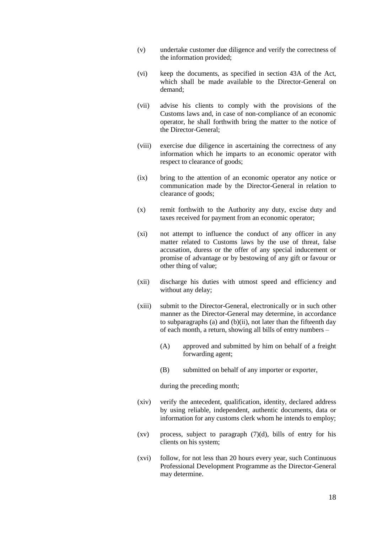- (v) undertake customer due diligence and verify the correctness of the information provided;
- (vi) keep the documents, as specified in section 43A of the Act, which shall be made available to the Director-General on demand;
- (vii) advise his clients to comply with the provisions of the Customs laws and, in case of non-compliance of an economic operator, he shall forthwith bring the matter to the notice of the Director-General;
- (viii) exercise due diligence in ascertaining the correctness of any information which he imparts to an economic operator with respect to clearance of goods;
- (ix) bring to the attention of an economic operator any notice or communication made by the Director-General in relation to clearance of goods;
- (x) remit forthwith to the Authority any duty, excise duty and taxes received for payment from an economic operator;
- (xi) not attempt to influence the conduct of any officer in any matter related to Customs laws by the use of threat, false accusation, duress or the offer of any special inducement or promise of advantage or by bestowing of any gift or favour or other thing of value;
- (xii) discharge his duties with utmost speed and efficiency and without any delay;
- (xiii) submit to the Director-General, electronically or in such other manner as the Director-General may determine, in accordance to subparagraphs (a) and (b)(ii), not later than the fifteenth day of each month, a return, showing all bills of entry numbers –
	- (A) approved and submitted by him on behalf of a freight forwarding agent;
	- (B) submitted on behalf of any importer or exporter,

during the preceding month;

- (xiv) verify the antecedent, qualification, identity, declared address by using reliable, independent, authentic documents, data or information for any customs clerk whom he intends to employ;
- $(xv)$  process, subject to paragraph  $(7)(d)$ , bills of entry for his clients on his system;
- (xvi) follow, for not less than 20 hours every year, such Continuous Professional Development Programme as the Director-General may determine.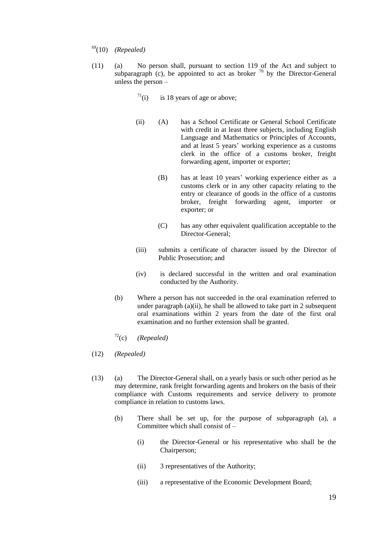- <sup>69</sup>(10) *(Repealed)*
- (11) (a) No person shall, pursuant to section 119 of the Act and subject to subparagraph (c), be appointed to act as broker  $\frac{70}{10}$  by the Director-General unless the person –
	- $71$ (i) is 18 years of age or above;
	- (ii) (A) has a School Certificate or General School Certificate with credit in at least three subjects, including English Language and Mathematics or Principles of Accounts, and at least 5 years' working experience as a customs clerk in the office of a customs broker, freight forwarding agent, importer or exporter;
		- (B) has at least 10 years' working experience either as a customs clerk or in any other capacity relating to the entry or clearance of goods in the office of a customs broker, freight forwarding agent, importer or exporter; or
		- (C) has any other equivalent qualification acceptable to the Director-General;
	- (iii) submits a certificate of character issued by the Director of Public Prosecution; and
	- (iv) is declared successful in the written and oral examination conducted by the Authority.
	- (b) Where a person has not succeeded in the oral examination referred to under paragraph (a)(ii), he shall be allowed to take part in 2 subsequent oral examinations within 2 years from the date of the first oral examination and no further extension shall be granted.
	- <sup>72</sup>(c) *(Repealed)*
- (12) *(Repealed)*
- (13) (a) The Director-General shall, on a yearly basis or such other period as he may determine, rank freight forwarding agents and brokers on the basis of their compliance with Customs requirements and service delivery to promote compliance in relation to customs laws.
	- (b) There shall be set up, for the purpose of subparagraph (a), a Committee which shall consist of –
		- (i) the Director-General or his representative who shall be the Chairperson;
		- (ii) 3 representatives of the Authority;
		- (iii) a representative of the Economic Development Board;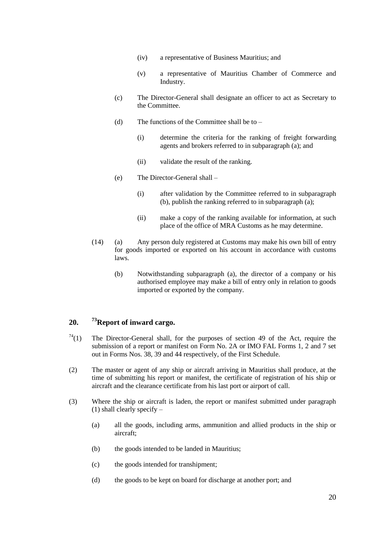- (iv) a representative of Business Mauritius; and
- (v) a representative of Mauritius Chamber of Commerce and Industry.
- (c) The Director-General shall designate an officer to act as Secretary to the Committee.
- (d) The functions of the Committee shall be to  $-$ 
	- (i) determine the criteria for the ranking of freight forwarding agents and brokers referred to in subparagraph (a); and
	- (ii) validate the result of the ranking.
- (e) The Director-General shall
	- (i) after validation by the Committee referred to in subparagraph (b), publish the ranking referred to in subparagraph (a);
	- (ii) make a copy of the ranking available for information, at such place of the office of MRA Customs as he may determine.
- (14) (a) Any person duly registered at Customs may make his own bill of entry for goods imported or exported on his account in accordance with customs laws.
	- (b) Notwithstanding subparagraph (a), the director of a company or his authorised employee may make a bill of entry only in relation to goods imported or exported by the company.

#### <span id="page-19-0"></span>**20. <sup>73</sup>Report of inward cargo.**

- $74(1)$  The Director-General shall, for the purposes of section 49 of the Act, require the submission of a report or manifest on Form No. 2A or IMO FAL Forms 1, 2 and 7 set out in Forms Nos. 38, 39 and 44 respectively, of the First Schedule.
- (2) The master or agent of any ship or aircraft arriving in Mauritius shall produce, at the time of submitting his report or manifest, the certificate of registration of his ship or aircraft and the clearance certificate from his last port or airport of call.
- (3) Where the ship or aircraft is laden, the report or manifest submitted under paragraph (1) shall clearly specify –
	- (a) all the goods, including arms, ammunition and allied products in the ship or aircraft;
	- (b) the goods intended to be landed in Mauritius;
	- (c) the goods intended for transhipment;
	- (d) the goods to be kept on board for discharge at another port; and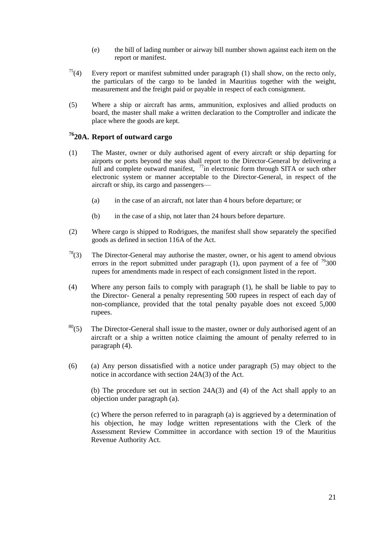- (e) the bill of lading number or airway bill number shown against each item on the report or manifest.
- $75(4)$  Every report or manifest submitted under paragraph (1) shall show, on the recto only, the particulars of the cargo to be landed in Mauritius together with the weight, measurement and the freight paid or payable in respect of each consignment.
- (5) Where a ship or aircraft has arms, ammunition, explosives and allied products on board, the master shall make a written declaration to the Comptroller and indicate the place where the goods are kept.

### <span id="page-20-0"></span>**<sup>76</sup>20A. Report of outward cargo**

- (1) The Master, owner or duly authorised agent of every aircraft or ship departing for airports or ports beyond the seas shall report to the Director-General by delivering a full and complete outward manifest,  $\frac{77}{10}$  electronic form through SITA or such other electronic system or manner acceptable to the Director-General, in respect of the aircraft or ship, its cargo and passengers—
	- (a) in the case of an aircraft, not later than 4 hours before departure; or
	- (b) in the case of a ship, not later than 24 hours before departure.
- (2) Where cargo is shipped to Rodrigues, the manifest shall show separately the specified goods as defined in section 116A of the Act.
- $7<sup>8</sup>(3)$  The Director-General may authorise the master, owner, or his agent to amend obvious errors in the report submitted under paragraph (1), upon payment of a fee of  $\frac{79}{300}$ rupees for amendments made in respect of each consignment listed in the report.
- (4) Where any person fails to comply with paragraph (1), he shall be liable to pay to the Director- General a penalty representing 500 rupees in respect of each day of non-compliance, provided that the total penalty payable does not exceed 5,000 rupees.
- $80(5)$  The Director-General shall issue to the master, owner or duly authorised agent of an aircraft or a ship a written notice claiming the amount of penalty referred to in paragraph (4).
- (6) (a) Any person dissatisfied with a notice under paragraph (5) may object to the notice in accordance with section 24A(3) of the Act.

(b) The procedure set out in section 24A(3) and (4) of the Act shall apply to an objection under paragraph (a).

(c) Where the person referred to in paragraph (a) is aggrieved by a determination of his objection, he may lodge written representations with the Clerk of the Assessment Review Committee in accordance with section 19 of the Mauritius Revenue Authority Act.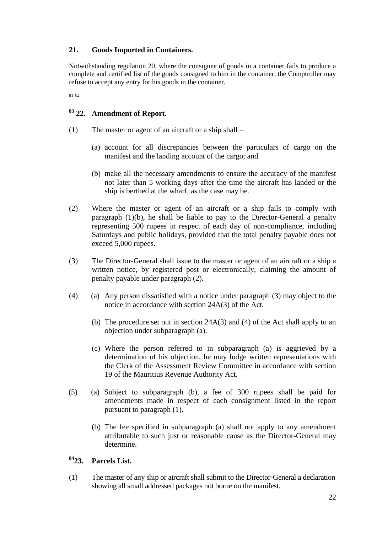#### <span id="page-21-0"></span>**21. Goods Imported in Containers.**

Notwithstanding regulation 20, where the consignee of goods in a container fails to produce a complete and certified list of the goods consigned to him in the container, the Comptroller may refuse to accept any entry for his goods in the container.

81 82

### <span id="page-21-1"></span>**<sup>83</sup> 22. Amendment of Report.**

- (1) The master or agent of an aircraft or a ship shall
	- (a) account for all discrepancies between the particulars of cargo on the manifest and the landing account of the cargo; and
	- (b) make all the necessary amendments to ensure the accuracy of the manifest not later than 5 working days after the time the aircraft has landed or the ship is berthed at the wharf, as the case may be.
- (2) Where the master or agent of an aircraft or a ship fails to comply with paragraph (1)(b), he shall be liable to pay to the Director-General a penalty representing 500 rupees in respect of each day of non-compliance, including Saturdays and public holidays, provided that the total penalty payable does not exceed 5,000 rupees.
- (3) The Director-General shall issue to the master or agent of an aircraft or a ship a written notice, by registered post or electronically, claiming the amount of penalty payable under paragraph (2).
- (4) (a) Any person dissatisfied with a notice under paragraph (3) may object to the notice in accordance with section 24A(3) of the Act.
	- (b) The procedure set out in section 24A(3) and (4) of the Act shall apply to an objection under subparagraph (a).
	- (c) Where the person referred to in subparagraph (a) is aggrieved by a determination of his objection, he may lodge written representations with the Clerk of the Assessment Review Committee in accordance with section 19 of the Mauritius Revenue Authority Act.
- (5) (a) Subject to subparagraph (b), a fee of 300 rupees shall be paid for amendments made in respect of each consignment listed in the report pursuant to paragraph (1).
	- (b) The fee specified in subparagraph (a) shall not apply to any amendment attributable to such just or reasonable cause as the Director-General may determine.

### <span id="page-21-2"></span>**<sup>84</sup>23. Parcels List.**

(1) The master of any ship or aircraft shall submit to the Director-General a declaration showing all small addressed packages not borne on the manifest.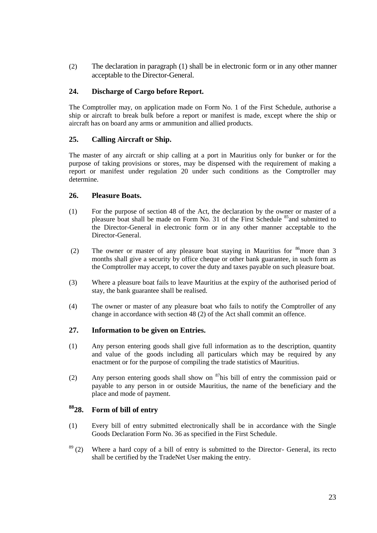(2) The declaration in paragraph (1) shall be in electronic form or in any other manner acceptable to the Director-General.

#### <span id="page-22-0"></span>**24. Discharge of Cargo before Report.**

The Comptroller may, on application made on Form No. 1 of the First Schedule, authorise a ship or aircraft to break bulk before a report or manifest is made, except where the ship or aircraft has on board any arms or ammunition and allied products.

#### <span id="page-22-1"></span>**25. Calling Aircraft or Ship.**

The master of any aircraft or ship calling at a port in Mauritius only for bunker or for the purpose of taking provisions or stores, may be dispensed with the requirement of making a report or manifest under regulation 20 under such conditions as the Comptroller may determine.

#### <span id="page-22-2"></span>**26. Pleasure Boats.**

- (1) For the purpose of section 48 of the Act, the declaration by the owner or master of a pleasure boat shall be made on Form No. 31 of the First Schedule <sup>85</sup> and submitted to the Director-General in electronic form or in any other manner acceptable to the Director-General.
- (2) The owner or master of any pleasure boat staying in Mauritius for  $86$  more than 3 months shall give a security by office cheque or other bank guarantee, in such form as the Comptroller may accept, to cover the duty and taxes payable on such pleasure boat.
- (3) Where a pleasure boat fails to leave Mauritius at the expiry of the authorised period of stay, the bank guarantee shall be realised.
- (4) The owner or master of any pleasure boat who fails to notify the Comptroller of any change in accordance with section 48 (2) of the Act shall commit an offence.

#### <span id="page-22-3"></span>**27. Information to be given on Entries.**

- (1) Any person entering goods shall give full information as to the description, quantity and value of the goods including all particulars which may be required by any enactment or for the purpose of compiling the trade statistics of Mauritius.
- (2) Any person entering goods shall show on  $87$ his bill of entry the commission paid or payable to any person in or outside Mauritius, the name of the beneficiary and the place and mode of payment.

#### <span id="page-22-4"></span>**<sup>88</sup>28. Form of bill of entry**

- (1) Every bill of entry submitted electronically shall be in accordance with the Single Goods Declaration Form No. 36 as specified in the First Schedule.
- $89$  (2) Where a hard copy of a bill of entry is submitted to the Director- General, its recto shall be certified by the TradeNet User making the entry.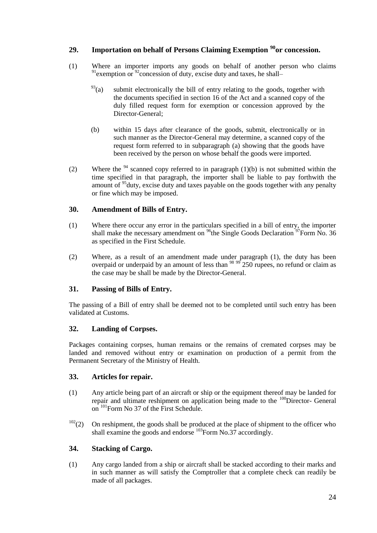#### <span id="page-23-0"></span>**29. Importation on behalf of Persons Claiming Exemption <sup>90</sup>or concession.**

- (1) Where an importer imports any goods on behalf of another person who claims  $91$  exemption or  $92$  concession of duty, excise duty and taxes, he shall–
	- $^{93}$ (a) submit electronically the bill of entry relating to the goods, together with the documents specified in section 16 of the Act and a scanned copy of the duly filled request form for exemption or concession approved by the Director-General;
	- (b) within 15 days after clearance of the goods, submit, electronically or in such manner as the Director-General may determine, a scanned copy of the request form referred to in subparagraph (a) showing that the goods have been received by the person on whose behalf the goods were imported.
- (2) Where the <sup>94</sup> scanned copy referred to in paragraph (1)(b) is not submitted within the time specified in that paragraph, the importer shall be liable to pay forthwith the amount of  $95$  duty, excise duty and taxes payable on the goods together with any penalty or fine which may be imposed.

#### <span id="page-23-1"></span>**30. Amendment of Bills of Entry.**

- (1) Where there occur any error in the particulars specified in a bill of entry, the importer shall make the necessary amendment on  $^{96}$ the Single Goods Declaration  $^{97}$ Form No. 36 as specified in the First Schedule.
- (2) Where, as a result of an amendment made under paragraph (1), the duty has been overpaid or underpaid by an amount of less than  $\frac{98\,99}{250}$  rupees, no refund or claim as the case may be shall be made by the Director-General.

#### <span id="page-23-2"></span>**31. Passing of Bills of Entry.**

The passing of a Bill of entry shall be deemed not to be completed until such entry has been validated at Customs.

#### <span id="page-23-3"></span>**32. Landing of Corpses.**

Packages containing corpses, human remains or the remains of cremated corpses may be landed and removed without entry or examination on production of a permit from the Permanent Secretary of the Ministry of Health.

#### <span id="page-23-4"></span>**33. Articles for repair.**

- (1) Any article being part of an aircraft or ship or the equipment thereof may be landed for repair and ultimate reshipment on application being made to the <sup>100</sup>Director- General on <sup>101</sup>Form No 37 of the First Schedule.
- $102(2)$  On reshipment, the goods shall be produced at the place of shipment to the officer who shall examine the goods and endorse  $^{103}$ Form No.37 accordingly.

#### <span id="page-23-5"></span>**34. Stacking of Cargo.**

(1) Any cargo landed from a ship or aircraft shall be stacked according to their marks and in such manner as will satisfy the Comptroller that a complete check can readily be made of all packages.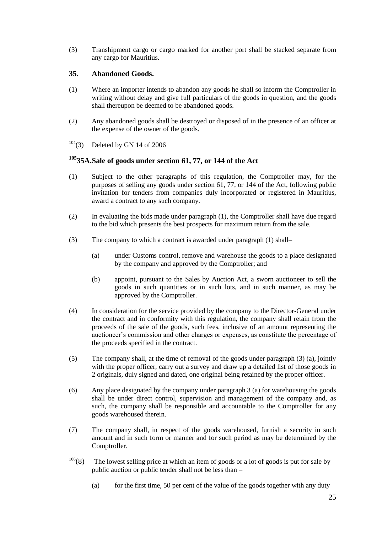(3) Transhipment cargo or cargo marked for another port shall be stacked separate from any cargo for Mauritius.

#### <span id="page-24-0"></span>**35. Abandoned Goods.**

- (1) Where an importer intends to abandon any goods he shall so inform the Comptroller in writing without delay and give full particulars of the goods in question, and the goods shall thereupon be deemed to be abandoned goods.
- (2) Any abandoned goods shall be destroyed or disposed of in the presence of an officer at the expense of the owner of the goods.
- $104(3)$  Deleted by GN 14 of 2006

### <span id="page-24-1"></span>**<sup>105</sup>35A.Sale of goods under section 61, 77, or 144 of the Act**

- (1) Subject to the other paragraphs of this regulation, the Comptroller may, for the purposes of selling any goods under section 61, 77, or 144 of the Act, following public invitation for tenders from companies duly incorporated or registered in Mauritius, award a contract to any such company.
- (2) In evaluating the bids made under paragraph (1), the Comptroller shall have due regard to the bid which presents the best prospects for maximum return from the sale.
- (3) The company to which a contract is awarded under paragraph (1) shall–
	- (a) under Customs control, remove and warehouse the goods to a place designated by the company and approved by the Comptroller; and
	- (b) appoint, pursuant to the Sales by Auction Act, a sworn auctioneer to sell the goods in such quantities or in such lots, and in such manner, as may be approved by the Comptroller.
- (4) In consideration for the service provided by the company to the Director-General under the contract and in conformity with this regulation, the company shall retain from the proceeds of the sale of the goods, such fees, inclusive of an amount representing the auctioneer's commission and other charges or expenses, as constitute the percentage of the proceeds specified in the contract.
- (5) The company shall, at the time of removal of the goods under paragraph (3) (a), jointly with the proper officer, carry out a survey and draw up a detailed list of those goods in 2 originals, duly signed and dated, one original being retained by the proper officer.
- (6) Any place designated by the company under paragraph 3 (a) for warehousing the goods shall be under direct control, supervision and management of the company and, as such, the company shall be responsible and accountable to the Comptroller for any goods warehoused therein.
- (7) The company shall, in respect of the goods warehoused, furnish a security in such amount and in such form or manner and for such period as may be determined by the Comptroller.
- $106(8)$  The lowest selling price at which an item of goods or a lot of goods is put for sale by public auction or public tender shall not be less than –
	- (a) for the first time, 50 per cent of the value of the goods together with any duty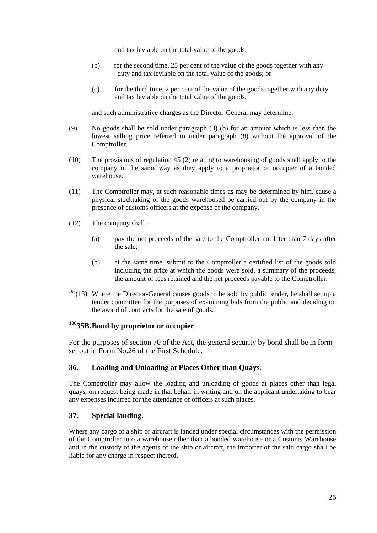and tax leviable on the total value of the goods;

- (b) for the second time, 25 per cent of the value of the goods together with any duty and tax leviable on the total value of the goods; or
- $(c)$  for the third time, 2 per cent of the value of the goods together with any duty and tax leviable on the total value of the goods,

and such administrative charges as the Director-General may determine.

- (9) No goods shall be sold under paragraph (3) (b) for an amount which is less than the lowest selling price referred to under paragraph (8) without the approval of the Comptroller.
- (10) The provisions of regulation 45 (2) relating to warehousing of goods shall apply to the company in the same way as they apply to a proprietor or occupier of a bonded warehouse.
- (11) The Comptroller may, at such reasonable times as may be determined by him, cause a physical stocktaking of the goods warehoused be carried out by the company in the presence of customs officers at the expense of the company.
- (12) The company shall
	- (a) pay the net proceeds of the sale to the Comptroller not later than 7 days after the sale;
	- (b) at the same time, submit to the Comptroller a certified list of the goods sold including the price at which the goods were sold, a summary of the proceeds, the amount of fees retained and the net proceeds payable to the Comptroller.
- $107(13)$  Where the Director-General causes goods to be sold by public tender, he shall set up a tender committee for the purposes of examining bids from the public and deciding on the award of contracts for the sale of goods.

#### <span id="page-25-0"></span>**<sup>108</sup>35B.Bond by proprietor or occupier**

For the purposes of section 70 of the Act, the general security by bond shall be in form set out in Form No.26 of the First Schedule.

#### <span id="page-25-1"></span>**36. Loading and Unloading at Places Other than Quays.**

The Comptroller may allow the loading and unloading of goods at places other than legal quays, on request being made in that behalf in writing and on the applicant undertaking to bear any expenses incurred for the attendance of officers at such places.

#### <span id="page-25-2"></span>**37. Special landing.**

Where any cargo of a ship or aircraft is landed under special circumstances with the permission of the Comptroller into a warehouse other than a bonded warehouse or a Customs Warehouse and in the custody of the agents of the ship or aircraft, the importer of the said cargo shall be liable for any charge in respect thereof.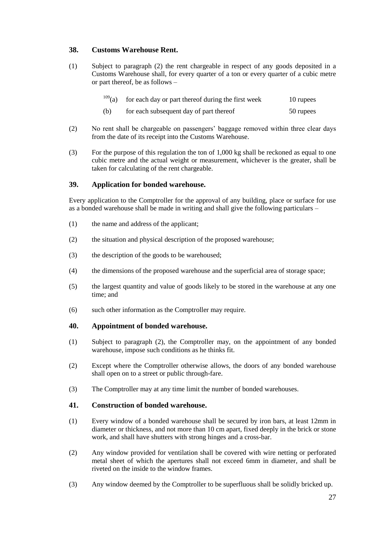#### <span id="page-26-0"></span>**38. Customs Warehouse Rent.**

- (1) Subject to paragraph (2) the rent chargeable in respect of any goods deposited in a Customs Warehouse shall, for every quarter of a ton or every quarter of a cubic metre or part thereof, be as follows –
	- $109<sub>(a)</sub>$  for each day or part thereof during the first week 10 rupees
	- (b) for each subsequent day of part thereof 50 rupees
- (2) No rent shall be chargeable on passengers' baggage removed within three clear days from the date of its receipt into the Customs Warehouse.
- (3) For the purpose of this regulation the ton of 1,000 kg shall be reckoned as equal to one cubic metre and the actual weight or measurement, whichever is the greater, shall be taken for calculating of the rent chargeable.

#### <span id="page-26-1"></span>**39. Application for bonded warehouse.**

Every application to the Comptroller for the approval of any building, place or surface for use as a bonded warehouse shall be made in writing and shall give the following particulars –

- (1) the name and address of the applicant;
- (2) the situation and physical description of the proposed warehouse;
- (3) the description of the goods to be warehoused;
- (4) the dimensions of the proposed warehouse and the superficial area of storage space;
- (5) the largest quantity and value of goods likely to be stored in the warehouse at any one time; and
- (6) such other information as the Comptroller may require.

#### <span id="page-26-2"></span>**40. Appointment of bonded warehouse.**

- (1) Subject to paragraph (2), the Comptroller may, on the appointment of any bonded warehouse, impose such conditions as he thinks fit.
- (2) Except where the Comptroller otherwise allows, the doors of any bonded warehouse shall open on to a street or public through-fare.
- (3) The Comptroller may at any time limit the number of bonded warehouses.

#### <span id="page-26-3"></span>**41. Construction of bonded warehouse.**

- (1) Every window of a bonded warehouse shall be secured by iron bars, at least 12mm in diameter or thickness, and not more than 10 cm apart, fixed deeply in the brick or stone work, and shall have shutters with strong hinges and a cross-bar.
- (2) Any window provided for ventilation shall be covered with wire netting or perforated metal sheet of which the apertures shall not exceed 6mm in diameter, and shall be riveted on the inside to the window frames.
- (3) Any window deemed by the Comptroller to be superfluous shall be solidly bricked up.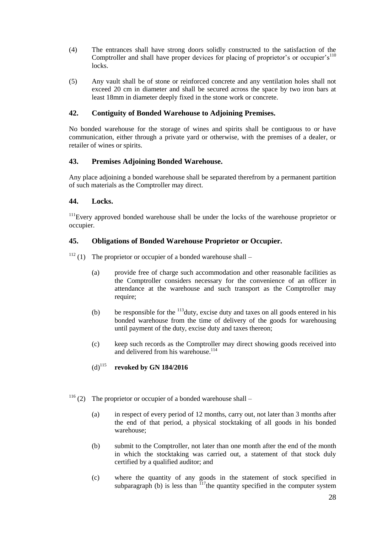- (4) The entrances shall have strong doors solidly constructed to the satisfaction of the Comptroller and shall have proper devices for placing of proprietor's or occupier's<sup>110</sup> locks.
- (5) Any vault shall be of stone or reinforced concrete and any ventilation holes shall not exceed 20 cm in diameter and shall be secured across the space by two iron bars at least 18mm in diameter deeply fixed in the stone work or concrete.

#### <span id="page-27-0"></span>**42. Contiguity of Bonded Warehouse to Adjoining Premises.**

No bonded warehouse for the storage of wines and spirits shall be contiguous to or have communication, either through a private yard or otherwise, with the premises of a dealer, or retailer of wines or spirits.

#### <span id="page-27-1"></span>**43. Premises Adjoining Bonded Warehouse.**

Any place adjoining a bonded warehouse shall be separated therefrom by a permanent partition of such materials as the Comptroller may direct.

#### <span id="page-27-2"></span>**44. Locks.**

<sup>111</sup>Every approved bonded warehouse shall be under the locks of the warehouse proprietor or occupier.

#### <span id="page-27-3"></span>**45. Obligations of Bonded Warehouse Proprietor or Occupier.**

 $112$  (1) The proprietor or occupier of a bonded warehouse shall –

- (a) provide free of charge such accommodation and other reasonable facilities as the Comptroller considers necessary for the convenience of an officer in attendance at the warehouse and such transport as the Comptroller may require;
- (b) be responsible for the  $\frac{113}{113}$  duty, excise duty and taxes on all goods entered in his bonded warehouse from the time of delivery of the goods for warehousing until payment of the duty, excise duty and taxes thereon;
- (c) keep such records as the Comptroller may direct showing goods received into and delivered from his warehouse.<sup>114</sup>

#### (d)<sup>115</sup> **revoked by GN 184/2016**

- <sup>116</sup> (2) The proprietor or occupier of a bonded warehouse shall
	- (a) in respect of every period of 12 months, carry out, not later than 3 months after the end of that period, a physical stocktaking of all goods in his bonded warehouse;
	- (b) submit to the Comptroller, not later than one month after the end of the month in which the stocktaking was carried out, a statement of that stock duly certified by a qualified auditor; and
	- (c) where the quantity of any goods in the statement of stock specified in subparagraph (b) is less than  $117$  the quantity specified in the computer system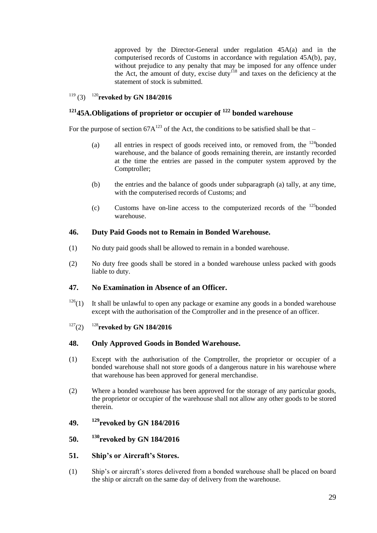approved by the Director-General under regulation 45A(a) and in the computerised records of Customs in accordance with regulation 45A(b), pay, without prejudice to any penalty that may be imposed for any offence under the Act, the amount of duty, excise duty<sup>118</sup> and taxes on the deficiency at the statement of stock is submitted.

### <sup>119</sup> (3) <sup>120</sup>**revoked by GN 184/2016**

#### <span id="page-28-0"></span>**<sup>121</sup>45A.Obligations of proprietor or occupier of <sup>122</sup> bonded warehouse**

For the purpose of section  $67A^{123}$  of the Act, the conditions to be satisfied shall be that –

- (a) all entries in respect of goods received into, or removed from, the  $^{124}$ bonded warehouse, and the balance of goods remaining therein, are instantly recorded at the time the entries are passed in the computer system approved by the Comptroller;
- (b) the entries and the balance of goods under subparagraph (a) tally, at any time, with the computerised records of Customs; and
- (c) Customs have on-line access to the computerized records of the  $125$ bonded warehouse.

#### <span id="page-28-1"></span>**46. Duty Paid Goods not to Remain in Bonded Warehouse.**

- (1) No duty paid goods shall be allowed to remain in a bonded warehouse.
- (2) No duty free goods shall be stored in a bonded warehouse unless packed with goods liable to duty.

#### <span id="page-28-2"></span>**47. No Examination in Absence of an Officer.**

- $126(1)$  It shall be unlawful to open any package or examine any goods in a bonded warehouse except with the authorisation of the Comptroller and in the presence of an officer.
- <sup>127</sup>(2) <sup>128</sup>**revoked by GN 184/2016**

#### <span id="page-28-3"></span>**48. Only Approved Goods in Bonded Warehouse.**

- (1) Except with the authorisation of the Comptroller, the proprietor or occupier of a bonded warehouse shall not store goods of a dangerous nature in his warehouse where that warehouse has been approved for general merchandise.
- (2) Where a bonded warehouse has been approved for the storage of any particular goods, the proprietor or occupier of the warehouse shall not allow any other goods to be stored therein.
- <span id="page-28-4"></span>**49. <sup>129</sup>revoked by GN 184/2016**
- <span id="page-28-5"></span>**50. <sup>130</sup>revoked by GN 184/2016**
- <span id="page-28-6"></span>**51. Ship's or Aircraft's Stores.**
- (1) Ship's or aircraft's stores delivered from a bonded warehouse shall be placed on board the ship or aircraft on the same day of delivery from the warehouse.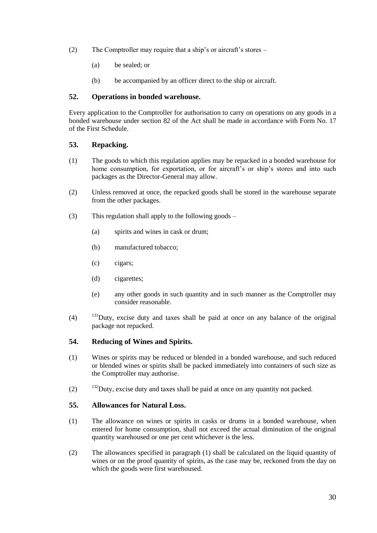- (2) The Comptroller may require that a ship's or aircraft's stores
	- (a) be sealed; or
	- (b) be accompanied by an officer direct to the ship or aircraft.

#### <span id="page-29-0"></span>**52. Operations in bonded warehouse.**

Every application to the Comptroller for authorisation to carry on operations on any goods in a bonded warehouse under section 82 of the Act shall be made in accordance with Form No. 17 of the First Schedule.

#### <span id="page-29-1"></span>**53. Repacking.**

- (1) The goods to which this regulation applies may be repacked in a bonded warehouse for home consumption, for exportation, or for aircraft's or ship's stores and into such packages as the Director-General may allow.
- (2) Unless removed at once, the repacked goods shall be stored in the warehouse separate from the other packages.
- (3) This regulation shall apply to the following goods
	- (a) spirits and wines in cask or drum;
	- (b) manufactured tobacco;
	- (c) cigars;
	- (d) cigarettes;
	- (e) any other goods in such quantity and in such manner as the Comptroller may consider reasonable.
- $(4)$  <sup>131</sup>Duty, excise duty and taxes shall be paid at once on any balance of the original package not repacked.

#### <span id="page-29-2"></span>**54. Reducing of Wines and Spirits.**

- (1) Wines or spirits may be reduced or blended in a bonded warehouse, and such reduced or blended wines or spirits shall be packed immediately into containers of such size as the Comptroller may authorise.
- (2) <sup>132</sup>Duty, excise duty and taxes shall be paid at once on any quantity not packed.

#### <span id="page-29-3"></span>**55. Allowances for Natural Loss.**

- (1) The allowance on wines or spirits in casks or drums in a bonded warehouse, when entered for home consumption, shall not exceed the actual diminution of the original quantity warehoused or one per cent whichever is the less.
- (2) The allowances specified in paragraph (1) shall be calculated on the liquid quantity of wines or on the proof quantity of spirits, as the case may be, reckoned from the day on which the goods were first warehoused.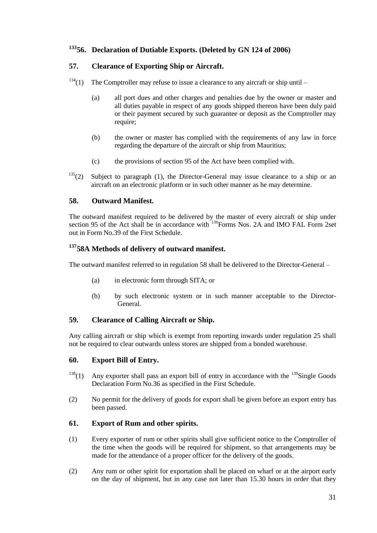### <span id="page-30-0"></span>**<sup>133</sup>56. Declaration of Dutiable Exports. (Deleted by GN 124 of 2006)**

#### <span id="page-30-1"></span>**57. Clearance of Exporting Ship or Aircraft.**

- $134(1)$  The Comptroller may refuse to issue a clearance to any aircraft or ship until
	- (a) all port dues and other charges and penalties due by the owner or master and all duties payable in respect of any goods shipped thereon have been duly paid or their payment secured by such guarantee or deposit as the Comptroller may require;
	- (b) the owner or master has complied with the requirements of any law in force regarding the departure of the aircraft or ship from Mauritius;
	- (c) the provisions of section 95 of the Act have been complied with.
- $135(2)$  Subject to paragraph (1), the Director-General may issue clearance to a ship or an aircraft on an electronic platform or in such other manner as he may determine.

#### <span id="page-30-2"></span>**58. Outward Manifest.**

The outward manifest required to be delivered by the master of every aircraft or ship under section 95 of the Act shall be in accordance with <sup>136</sup>Forms Nos. 2A and IMO FAL Form 2set out in Form No.39 of the First Schedule.

#### <span id="page-30-3"></span>**<sup>137</sup>58A Methods of delivery of outward manifest.**

The outward manifest referred to in regulation 58 shall be delivered to the Director-General –

- (a) in electronic form through SITA; or
- (b) by such electronic system or in such manner acceptable to the Director-General.

#### <span id="page-30-4"></span>**59. Clearance of Calling Aircraft or Ship.**

Any calling aircraft or ship which is exempt from reporting inwards under regulation 25 shall not be required to clear outwards unless stores are shipped from a bonded warehouse.

#### <span id="page-30-5"></span>**60. Export Bill of Entry.**

- <sup>138</sup>(1) Any exporter shall pass an export bill of entry in accordance with the <sup>139</sup>Single Goods Declaration Form No.36 as specified in the First Schedule.
- (2) No permit for the delivery of goods for export shall be given before an export entry has been passed.

#### <span id="page-30-6"></span>**61. Export of Rum and other spirits.**

- (1) Every exporter of rum or other spirits shall give sufficient notice to the Comptroller of the time when the goods will be required for shipment, so that arrangements may be made for the attendance of a proper officer for the delivery of the goods.
- (2) Any rum or other spirit for exportation shall be placed on wharf or at the airport early on the day of shipment, but in any case not later than 15.30 hours in order that they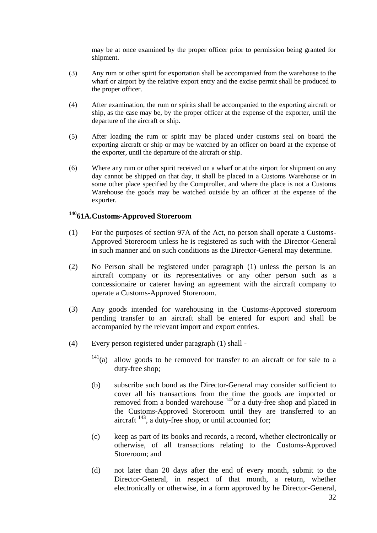may be at once examined by the proper officer prior to permission being granted for shipment.

- (3) Any rum or other spirit for exportation shall be accompanied from the warehouse to the wharf or airport by the relative export entry and the excise permit shall be produced to the proper officer.
- (4) After examination, the rum or spirits shall be accompanied to the exporting aircraft or ship, as the case may be, by the proper officer at the expense of the exporter, until the departure of the aircraft or ship.
- (5) After loading the rum or spirit may be placed under customs seal on board the exporting aircraft or ship or may be watched by an officer on board at the expense of the exporter, until the departure of the aircraft or ship.
- (6) Where any rum or other spirit received on a wharf or at the airport for shipment on any day cannot be shipped on that day, it shall be placed in a Customs Warehouse or in some other place specified by the Comptroller, and where the place is not a Customs Warehouse the goods may be watched outside by an officer at the expense of the exporter.

### <span id="page-31-0"></span>**<sup>140</sup>61A.Customs-Approved Storeroom**

- (1) For the purposes of section 97A of the Act, no person shall operate a Customs-Approved Storeroom unless he is registered as such with the Director-General in such manner and on such conditions as the Director-General may determine.
- (2) No Person shall be registered under paragraph (1) unless the person is an aircraft company or its representatives or any other person such as a concessionaire or caterer having an agreement with the aircraft company to operate a Customs-Approved Storeroom.
- (3) Any goods intended for warehousing in the Customs-Approved storeroom pending transfer to an aircraft shall be entered for export and shall be accompanied by the relevant import and export entries.
- (4) Every person registered under paragraph (1) shall
	- $141$ (a) allow goods to be removed for transfer to an aircraft or for sale to a duty-free shop;
	- (b) subscribe such bond as the Director-General may consider sufficient to cover all his transactions from the time the goods are imported or removed from a bonded warehouse <sup>142</sup>or a duty-free shop and placed in the Customs-Approved Storeroom until they are transferred to an aircraft  $^{143}$ , a duty-free shop, or until accounted for;
	- (c) keep as part of its books and records, a record, whether electronically or otherwise, of all transactions relating to the Customs-Approved Storeroom; and
	- (d) not later than 20 days after the end of every month, submit to the Director-General, in respect of that month, a return, whether electronically or otherwise, in a form approved by he Director-General,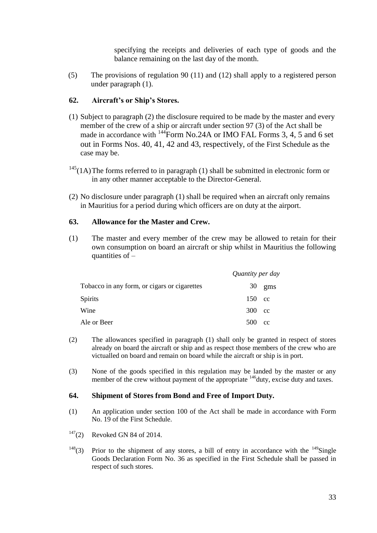specifying the receipts and deliveries of each type of goods and the balance remaining on the last day of the month.

(5) The provisions of regulation 90 (11) and (12) shall apply to a registered person under paragraph (1).

#### <span id="page-32-0"></span>**62. Aircraft's or Ship's Stores.**

- (1) Subject to paragraph (2) the disclosure required to be made by the master and every member of the crew of a ship or aircraft under section 97 (3) of the Act shall be made in accordance with <sup>144</sup>Form No.24A or IMO FAL Forms 3, 4, 5 and 6 set out in Forms Nos. 40, 41, 42 and 43, respectively, of the First Schedule as the case may be.
- $145(1)$ The forms referred to in paragraph (1) shall be submitted in electronic form or in any other manner acceptable to the Director-General.
- (2) No disclosure under paragraph (1) shall be required when an aircraft only remains in Mauritius for a period during which officers are on duty at the airport.

#### <span id="page-32-1"></span>**63. Allowance for the Master and Crew.**

(1) The master and every member of the crew may be allowed to retain for their own consumption on board an aircraft or ship whilst in Mauritius the following quantities of  $-$ 

|                                              | Quantity per day |                    |
|----------------------------------------------|------------------|--------------------|
| Tobacco in any form, or cigars or cigarettes |                  | $30 \; \text{gms}$ |
| Spirits                                      | 150 cc           |                    |
| Wine                                         | 300 cc           |                    |
| Ale or Beer                                  | 500 cc           |                    |

- (2) The allowances specified in paragraph (1) shall only be granted in respect of stores already on board the aircraft or ship and as respect those members of the crew who are victualled on board and remain on board while the aircraft or ship is in port.
- (3) None of the goods specified in this regulation may be landed by the master or any member of the crew without payment of the appropriate  $146$  duty, excise duty and taxes.

#### <span id="page-32-2"></span>**64. Shipment of Stores from Bond and Free of Import Duty.**

- (1) An application under section 100 of the Act shall be made in accordance with Form No. 19 of the First Schedule.
- $147(2)$  Revoked GN 84 of 2014.
- <sup>148</sup>(3) Prior to the shipment of any stores, a bill of entry in accordance with the <sup>149</sup>Single Goods Declaration Form No. 36 as specified in the First Schedule shall be passed in respect of such stores.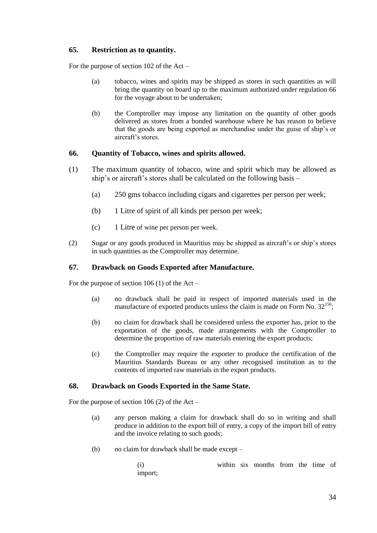#### <span id="page-33-0"></span>**65. Restriction as to quantity.**

For the purpose of section 102 of the Act –

- (a) tobacco, wines and spirits may be shipped as stores in such quantities as will bring the quantity on board up to the maximum authorized under regulation 66 for the voyage about to be undertaken;
- (b) the Comptroller may impose any limitation on the quantity of other goods delivered as stores from a bonded warehouse where he has reason to believe that the goods are being exported as merchandise under the guise of ship's or aircraft's stores.

#### <span id="page-33-1"></span>**66. Quantity of Tobacco, wines and spirits allowed.**

- (1) The maximum quantity of tobacco, wine and spirit which may be allowed as ship's or aircraft's stores shall be calculated on the following basis –
	- (a) 250 gms tobacco including cigars and cigarettes per person per week;
	- (b) 1 Litre of spirit of all kinds per person per week;
	- (c) 1 Litre of wine per person per week.
- (2) Sugar or any goods produced in Mauritius may be shipped as aircraft's or ship's stores in such quantities as the Comptroller may determine.

#### <span id="page-33-2"></span>**67. Drawback on Goods Exported after Manufacture.**

For the purpose of section 106 (1) of the Act –

- (a) no drawback shall be paid in respect of imported materials used in the manufacture of exported products unless the claim is made on Form No.  $32^{150}$ ;
- (b) no claim for drawback shall be considered unless the exporter has, prior to the exportation of the goods, made arrangements with the Comptroller to determine the proportion of raw materials entering the export products;
- (c) the Comptroller may require the exporter to produce the certification of the Mauritius Standards Bureau or any other recognised institution as to the contents of imported raw materials in the export products.

#### <span id="page-33-3"></span>**68. Drawback on Goods Exported in the Same State.**

For the purpose of section 106 (2) of the Act –

- (a) any person making a claim for drawback shall do so in writing and shall produce in addition to the export bill of entry, a copy of the import bill of entry and the invoice relating to such goods;
- (b) no claim for drawback shall be made except –

(i) within six months from the time of import;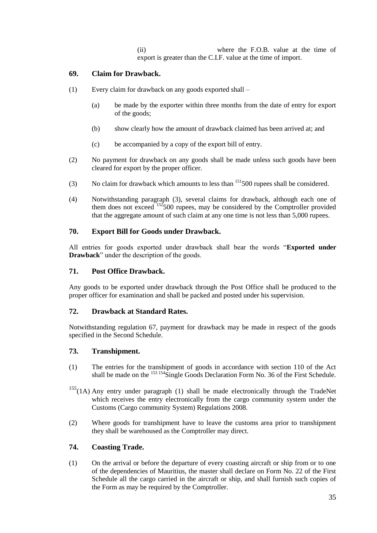(ii) where the F.O.B. value at the time of export is greater than the C.I.F. value at the time of import.

#### <span id="page-34-0"></span>**69. Claim for Drawback.**

- (1) Every claim for drawback on any goods exported shall
	- (a) be made by the exporter within three months from the date of entry for export of the goods;
	- (b) show clearly how the amount of drawback claimed has been arrived at; and
	- (c) be accompanied by a copy of the export bill of entry.
- (2) No payment for drawback on any goods shall be made unless such goods have been cleared for export by the proper officer.
- (3) No claim for drawback which amounts to less than  $151500$  rupees shall be considered.
- (4) Notwithstanding paragraph (3), several claims for drawback, although each one of them does not exceed  $152500$  rupees, may be considered by the Comptroller provided that the aggregate amount of such claim at any one time is not less than 5,000 rupees.

#### <span id="page-34-1"></span>**70. Export Bill for Goods under Drawback.**

All entries for goods exported under drawback shall bear the words "Exported under **Drawback**" under the description of the goods.

#### <span id="page-34-2"></span>**71. Post Office Drawback.**

Any goods to be exported under drawback through the Post Office shall be produced to the proper officer for examination and shall be packed and posted under his supervision.

#### <span id="page-34-3"></span>**72. Drawback at Standard Rates.**

Notwithstanding regulation 67, payment for drawback may be made in respect of the goods specified in the Second Schedule.

#### <span id="page-34-4"></span>**73. Transhipment.**

- (1) The entries for the transhipment of goods in accordance with section 110 of the Act shall be made on the  $153\frac{154}{151}$ Single Goods Declaration Form No. 36 of the First Schedule.
- $155(1)$  Any entry under paragraph (1) shall be made electronically through the TradeNet which receives the entry electronically from the cargo community system under the Customs (Cargo community System) Regulations 2008.
- (2) Where goods for transhipment have to leave the customs area prior to transhipment they shall be warehoused as the Comptroller may direct.

#### <span id="page-34-5"></span>**74. Coasting Trade.**

(1) On the arrival or before the departure of every coasting aircraft or ship from or to one of the dependencies of Mauritius, the master shall declare on Form No. 22 of the First Schedule all the cargo carried in the aircraft or ship, and shall furnish such copies of the Form as may be required by the Comptroller.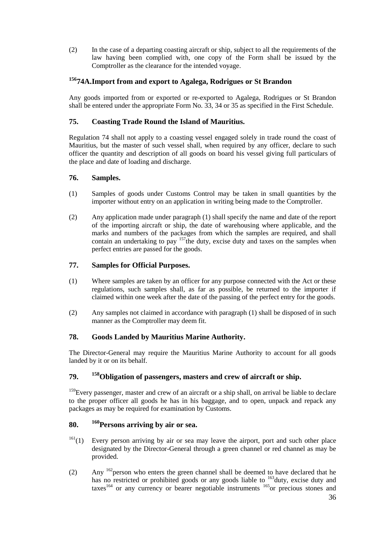(2) In the case of a departing coasting aircraft or ship, subject to all the requirements of the law having been complied with, one copy of the Form shall be issued by the Comptroller as the clearance for the intended voyage.

## <span id="page-35-0"></span>**<sup>156</sup>74A.Import from and export to Agalega, Rodrigues or St Brandon**

Any goods imported from or exported or re-exported to Agalega, Rodrigues or St Brandon shall be entered under the appropriate Form No. 33, 34 or 35 as specified in the First Schedule.

#### <span id="page-35-1"></span>**75. Coasting Trade Round the Island of Mauritius.**

Regulation 74 shall not apply to a coasting vessel engaged solely in trade round the coast of Mauritius, but the master of such vessel shall, when required by any officer, declare to such officer the quantity and description of all goods on board his vessel giving full particulars of the place and date of loading and discharge.

#### <span id="page-35-2"></span>**76. Samples.**

- (1) Samples of goods under Customs Control may be taken in small quantities by the importer without entry on an application in writing being made to the Comptroller.
- (2) Any application made under paragraph (1) shall specify the name and date of the report of the importing aircraft or ship, the date of warehousing where applicable, and the marks and numbers of the packages from which the samples are required, and shall contain an undertaking to pay  $157$  the duty, excise duty and taxes on the samples when perfect entries are passed for the goods.

#### <span id="page-35-3"></span>**77. Samples for Official Purposes.**

- (1) Where samples are taken by an officer for any purpose connected with the Act or these regulations, such samples shall, as far as possible, be returned to the importer if claimed within one week after the date of the passing of the perfect entry for the goods.
- (2) Any samples not claimed in accordance with paragraph (1) shall be disposed of in such manner as the Comptroller may deem fit.

#### <span id="page-35-4"></span>**78. Goods Landed by Mauritius Marine Authority.**

The Director-General may require the Mauritius Marine Authority to account for all goods landed by it or on its behalf.

#### <span id="page-35-5"></span>**79. <sup>158</sup>Obligation of passengers, masters and crew of aircraft or ship.**

<sup>159</sup>Every passenger, master and crew of an aircraft or a ship shall, on arrival be liable to declare to the proper officer all goods he has in his baggage, and to open, unpack and repack any packages as may be required for examination by Customs.

#### <span id="page-35-6"></span>**80. <sup>160</sup>Persons arriving by air or sea.**

- $161(1)$  Every person arriving by air or sea may leave the airport, port and such other place designated by the Director-General through a green channel or red channel as may be provided.
- (2) Any  $162$  person who enters the green channel shall be deemed to have declared that he has no restricted or prohibited goods or any goods liable to <sup>163</sup>duty, excise duty and taxes<sup>164</sup> or any currency or bearer negotiable instruments  $165$  or precious stones and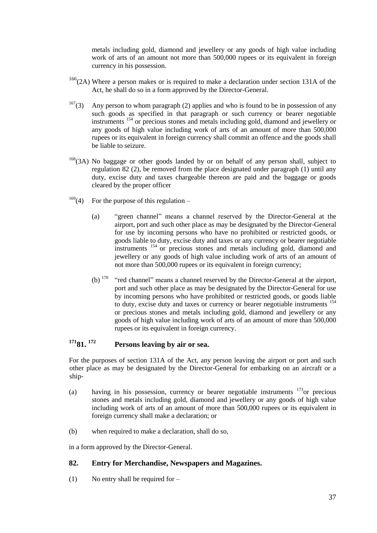metals including gold, diamond and jewellery or any goods of high value including work of arts of an amount not more than 500,000 rupees or its equivalent in foreign currency in his possession.

- <sup>166</sup>(2A) Where a person makes or is required to make a declaration under section 131A of the Act, he shall do so in a form approved by the Director-General.
- $167(3)$  Any person to whom paragraph (2) applies and who is found to be in possession of any such goods as specified in that paragraph or such currency or bearer negotiable instruments <sup>154</sup> or precious stones and metals including gold, diamond and jewellery or any goods of high value including work of arts of an amount of more than 500,000 rupees or its equivalent in foreign currency shall commit an offence and the goods shall be liable to seizure.
- <sup>168</sup>(3A) No baggage or other goods landed by or on behalf of any person shall, subject to regulation 82 (2), be removed from the place designated under paragraph (1) until any duty, excise duty and taxes chargeable thereon are paid and the baggage or goods cleared by the proper officer
- $169(4)$  For the purpose of this regulation
	- (a) "green channel" means a channel reserved by the Director-General at the airport, port and such other place as may be designated by the Director-General for use by incoming persons who have no prohibited or restricted goods, or goods liable to duty, excise duty and taxes or any currency or bearer negotiable instruments  $154$  or precious stones and metals including gold, diamond and jewellery or any goods of high value including work of arts of an amount of not more than 500,000 rupees or its equivalent in foreign currency;
	- (b)  $170$  "red channel" means a channel reserved by the Director-General at the airport, port and such other place as may be designated by the Director-General for use by incoming persons who have prohibited or restricted goods, or goods liable to duty, excise duty and taxes or currency or bearer negotiable instruments <sup>154</sup> or precious stones and metals including gold, diamond and jewellery or any goods of high value including work of arts of an amount of more than 500,000 rupees or its equivalent in foreign currency.

### <span id="page-36-0"></span>**<sup>171</sup>81. <sup>172</sup> Persons leaving by air or sea.**

For the purposes of section 131A of the Act, any person leaving the airport or port and such other place as may be designated by the Director-General for embarking on an aircraft or a ship-

- (a) having in his possession, currency or bearer negotiable instruments  $173$  or precious stones and metals including gold, diamond and jewellery or any goods of high value including work of arts of an amount of more than 500,000 rupees or its equivalent in foreign currency shall make a declaration; or
- (b) when required to make a declaration, shall do so,

in a form approved by the Director-General.

#### <span id="page-36-1"></span>**82. Entry for Merchandise, Newspapers and Magazines.**

(1) No entry shall be required for  $-$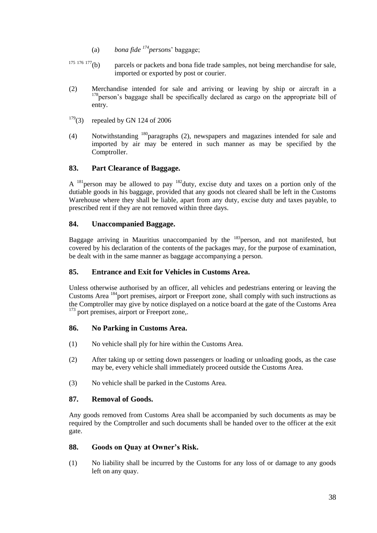- (a) *bona fide <sup>174</sup> person*s' baggage;
- $175\,176\,177$ (b) parcels or packets and bona fide trade samples, not being merchandise for sale, imported or exported by post or courier.
- (2) Merchandise intended for sale and arriving or leaving by ship or aircraft in a <sup>178</sup>person's baggage shall be specifically declared as cargo on the appropriate bill of entry.
- $179(3)$  repealed by GN 124 of 2006
- (4) Notwithstanding <sup>180</sup>paragraphs (2), newspapers and magazines intended for sale and imported by air may be entered in such manner as may be specified by the Comptroller.

#### <span id="page-37-0"></span>**83. Part Clearance of Baggage.**

A  $^{181}$  person may be allowed to pay  $^{182}$  duty, excise duty and taxes on a portion only of the dutiable goods in his baggage, provided that any goods not cleared shall be left in the Customs Warehouse where they shall be liable, apart from any duty, excise duty and taxes payable, to prescribed rent if they are not removed within three days.

#### <span id="page-37-1"></span>**84. Unaccompanied Baggage.**

Baggage arriving in Mauritius unaccompanied by the  $183$  person, and not manifested, but covered by his declaration of the contents of the packages may, for the purpose of examination, be dealt with in the same manner as baggage accompanying a person.

#### <span id="page-37-2"></span>**85. Entrance and Exit for Vehicles in Customs Area.**

Unless otherwise authorised by an officer, all vehicles and pedestrians entering or leaving the Customs Area <sup>184</sup>port premises, airport or Freeport zone, shall comply with such instructions as the Comptroller may give by notice displayed on a notice board at the gate of the Customs Area <sup>173</sup> port premises, airport or Freeport zone,.

#### <span id="page-37-3"></span>**86. No Parking in Customs Area.**

- (1) No vehicle shall ply for hire within the Customs Area.
- (2) After taking up or setting down passengers or loading or unloading goods, as the case may be, every vehicle shall immediately proceed outside the Customs Area.
- (3) No vehicle shall be parked in the Customs Area.

#### <span id="page-37-4"></span>**87. Removal of Goods.**

Any goods removed from Customs Area shall be accompanied by such documents as may be required by the Comptroller and such documents shall be handed over to the officer at the exit gate.

#### <span id="page-37-5"></span>**88. Goods on Quay at Owner's Risk.**

(1) No liability shall be incurred by the Customs for any loss of or damage to any goods left on any quay.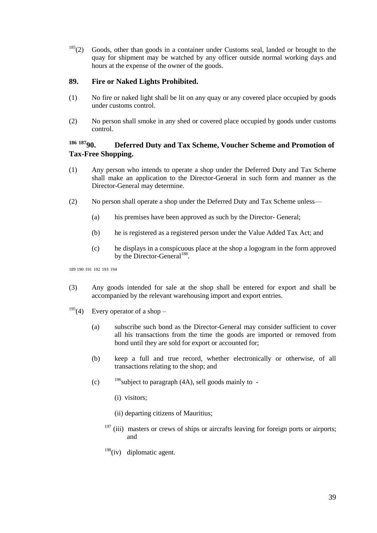$185(2)$  Goods, other than goods in a container under Customs seal, landed or brought to the quay for shipment may be watched by any officer outside normal working days and hours at the expense of the owner of the goods.

#### <span id="page-38-0"></span>**89. Fire or Naked Lights Prohibited.**

- (1) No fire or naked light shall be lit on any quay or any covered place occupied by goods under customs control.
- (2) No person shall smoke in any shed or covered place occupied by goods under customs control.

### <span id="page-38-1"></span>**<sup>186</sup> <sup>187</sup>90. Deferred Duty and Tax Scheme, Voucher Scheme and Promotion of Tax-Free Shopping.**

- (1) Any person who intends to operate a shop under the Deferred Duty and Tax Scheme shall make an application to the Director-General in such form and manner as the Director-General may determine.
- (2) No person shall operate a shop under the Deferred Duty and Tax Scheme unless—
	- (a) his premises have been approved as such by the Director- General;
	- (b) he is registered as a registered person under the Value Added Tax Act; and
	- (c) he displays in a conspicuous place at the shop a logogram in the form approved by the Director-General<sup>188</sup>.

189 190 191 192 193 194

- (3) Any goods intended for sale at the shop shall be entered for export and shall be accompanied by the relevant warehousing import and export entries.
- <sup>195</sup>(4) Every operator of a shop
	- (a) subscribe such bond as the Director-General may consider sufficient to cover all his transactions from the time the goods are imported or removed from bond until they are sold for export or accounted for;
	- (b) keep a full and true record, whether electronically or otherwise, of all transactions relating to the shop; and
	- (c)  $196$  subject to paragraph (4A), sell goods mainly to -
		- (i) visitors;
		- (ii) departing citizens of Mauritius;
		- $197$  (iii) masters or crews of ships or aircrafts leaving for foreign ports or airports; and
		- $198$ (iv) diplomatic agent.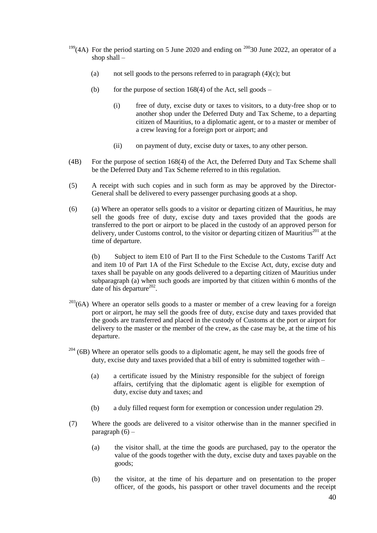- <sup>199</sup>(4A) For the period starting on 5 June 2020 and ending on <sup>200</sup>30 June 2022, an operator of a shop shall –
	- (a) not sell goods to the persons referred to in paragraph  $(4)(c)$ ; but
	- (b) for the purpose of section  $168(4)$  of the Act, sell goods
		- (i) free of duty, excise duty or taxes to visitors, to a duty-free shop or to another shop under the Deferred Duty and Tax Scheme, to a departing citizen of Mauritius, to a diplomatic agent, or to a master or member of a crew leaving for a foreign port or airport; and
		- (ii) on payment of duty, excise duty or taxes, to any other person.
- (4B) For the purpose of section 168(4) of the Act, the Deferred Duty and Tax Scheme shall be the Deferred Duty and Tax Scheme referred to in this regulation.
- (5) A receipt with such copies and in such form as may be approved by the Director-General shall be delivered to every passenger purchasing goods at a shop.
- (6) (a) Where an operator sells goods to a visitor or departing citizen of Mauritius, he may sell the goods free of duty, excise duty and taxes provided that the goods are transferred to the port or airport to be placed in the custody of an approved person for delivery, under Customs control, to the visitor or departing citizen of Mauritius<sup>201</sup> at the time of departure.

(b) Subject to item E10 of Part II to the First Schedule to the Customs Tariff Act and item 10 of Part 1A of the First Schedule to the Excise Act, duty, excise duty and taxes shall be payable on any goods delivered to a departing citizen of Mauritius under subparagraph (a) when such goods are imported by that citizen within 6 months of the date of his departure<sup>202</sup>.

- $203$ (6A) Where an operator sells goods to a master or member of a crew leaving for a foreign port or airport, he may sell the goods free of duty, excise duty and taxes provided that the goods are transferred and placed in the custody of Customs at the port or airport for delivery to the master or the member of the crew, as the case may be, at the time of his departure.
- $204$  (6B) Where an operator sells goods to a diplomatic agent, he may sell the goods free of duty, excise duty and taxes provided that a bill of entry is submitted together with –
	- (a) a certificate issued by the Ministry responsible for the subject of foreign affairs, certifying that the diplomatic agent is eligible for exemption of duty, excise duty and taxes; and
	- (b) a duly filled request form for exemption or concession under regulation 29.
- (7) Where the goods are delivered to a visitor otherwise than in the manner specified in paragraph  $(6)$  –
	- (a) the visitor shall, at the time the goods are purchased, pay to the operator the value of the goods together with the duty, excise duty and taxes payable on the goods;
	- (b) the visitor, at the time of his departure and on presentation to the proper officer, of the goods, his passport or other travel documents and the receipt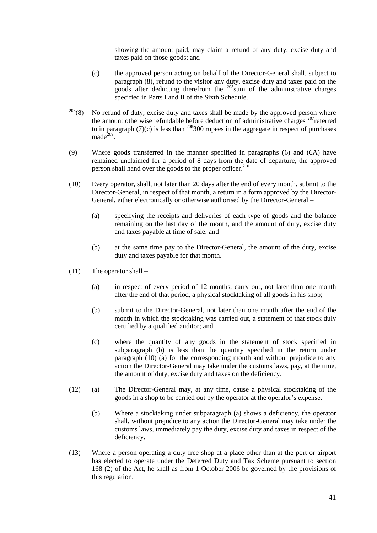showing the amount paid, may claim a refund of any duty, excise duty and taxes paid on those goods; and

- (c) the approved person acting on behalf of the Director-General shall, subject to paragraph (8), refund to the visitor any duty, excise duty and taxes paid on the goods after deducting therefrom the <sup>205</sup>sum of the administrative charges specified in Parts I and II of the Sixth Schedule.
- $206(8)$  No refund of duty, excise duty and taxes shall be made by the approved person where the amount otherwise refundable before deduction of administrative charges  $207$  referred to in paragraph  $(7)(c)$  is less than <sup>208</sup>300 rupees in the aggregate in respect of purchases  $made^{\overline{209}}$ .
- (9) Where goods transferred in the manner specified in paragraphs (6) and (6A) have remained unclaimed for a period of 8 days from the date of departure, the approved person shall hand over the goods to the proper officer.<sup>210</sup>
- (10) Every operator, shall, not later than 20 days after the end of every month, submit to the Director-General, in respect of that month, a return in a form approved by the Director-General, either electronically or otherwise authorised by the Director-General –
	- (a) specifying the receipts and deliveries of each type of goods and the balance remaining on the last day of the month, and the amount of duty, excise duty and taxes payable at time of sale; and
	- (b) at the same time pay to the Director-General, the amount of the duty, excise duty and taxes payable for that month.
- $(11)$  The operator shall
	- (a) in respect of every period of 12 months, carry out, not later than one month after the end of that period, a physical stocktaking of all goods in his shop;
	- (b) submit to the Director-General, not later than one month after the end of the month in which the stocktaking was carried out, a statement of that stock duly certified by a qualified auditor; and
	- (c) where the quantity of any goods in the statement of stock specified in subparagraph (b) is less than the quantity specified in the return under paragraph (10) (a) for the corresponding month and without prejudice to any action the Director-General may take under the customs laws, pay, at the time, the amount of duty, excise duty and taxes on the deficiency.
- (12) (a) The Director-General may, at any time, cause a physical stocktaking of the goods in a shop to be carried out by the operator at the operator's expense.
	- (b) Where a stocktaking under subparagraph (a) shows a deficiency, the operator shall, without prejudice to any action the Director-General may take under the customs laws, immediately pay the duty, excise duty and taxes in respect of the deficiency.
- (13) Where a person operating a duty free shop at a place other than at the port or airport has elected to operate under the Deferred Duty and Tax Scheme pursuant to section 168 (2) of the Act, he shall as from 1 October 2006 be governed by the provisions of this regulation.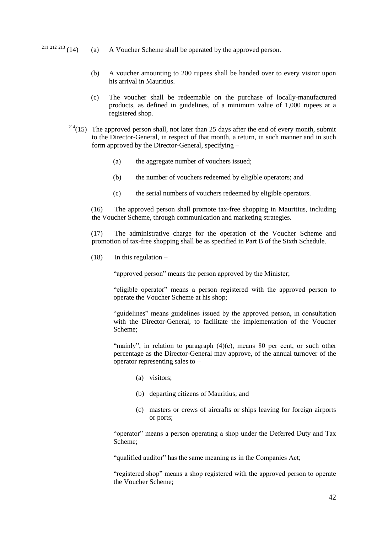- <sup>211 212 213</sup> (14) (a) A Voucher Scheme shall be operated by the approved person.
	- (b) A voucher amounting to 200 rupees shall be handed over to every visitor upon his arrival in Mauritius.
	- (c) The voucher shall be redeemable on the purchase of locally-manufactured products, as defined in guidelines, of a minimum value of 1,000 rupees at a registered shop.
	- $2^{14}(15)$  The approved person shall, not later than 25 days after the end of every month, submit to the Director-General, in respect of that month, a return, in such manner and in such form approved by the Director-General, specifying –
		- (a) the aggregate number of vouchers issued;
		- (b) the number of vouchers redeemed by eligible operators; and
		- (c) the serial numbers of vouchers redeemed by eligible operators.

(16) The approved person shall promote tax-free shopping in Mauritius, including the Voucher Scheme, through communication and marketing strategies.

(17) The administrative charge for the operation of the Voucher Scheme and promotion of tax-free shopping shall be as specified in Part B of the Sixth Schedule.

 $(18)$  In this regulation –

"approved person" means the person approved by the Minister;

"eligible operator" means a person registered with the approved person to operate the Voucher Scheme at his shop;

"guidelines" means guidelines issued by the approved person, in consultation with the Director-General, to facilitate the implementation of the Voucher Scheme;

"mainly", in relation to paragraph  $(4)(c)$ , means 80 per cent, or such other percentage as the Director-General may approve, of the annual turnover of the operator representing sales to –

- (a) visitors;
- (b) departing citizens of Mauritius; and
- (c) masters or crews of aircrafts or ships leaving for foreign airports or ports;

"operator" means a person operating a shop under the Deferred Duty and Tax Scheme;

"qualified auditor" has the same meaning as in the Companies Act;

"registered shop" means a shop registered with the approved person to operate the Voucher Scheme;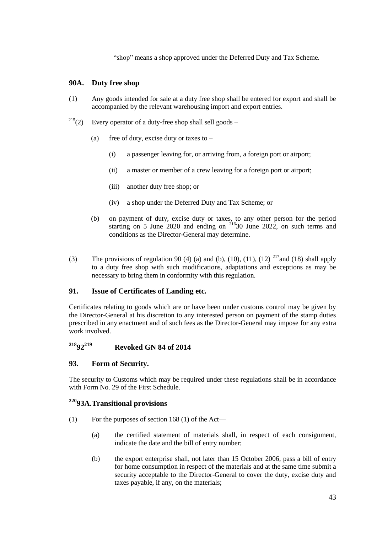"shop" means a shop approved under the Deferred Duty and Tax Scheme.

#### <span id="page-42-0"></span>**90A. Duty free shop**

- (1) Any goods intended for sale at a duty free shop shall be entered for export and shall be accompanied by the relevant warehousing import and export entries.
- <sup>215</sup>(2) Every operator of a duty-free shop shall sell goods
	- (a) free of duty, excise duty or taxes to  $-$ 
		- (i) a passenger leaving for, or arriving from, a foreign port or airport;
		- (ii) a master or member of a crew leaving for a foreign port or airport;
		- (iii) another duty free shop; or
		- (iv) a shop under the Deferred Duty and Tax Scheme; or
	- (b) on payment of duty, excise duty or taxes, to any other person for the period starting on 5 June 2020 and ending on  $2^{16}30$  June 2022, on such terms and conditions as the Director-General may determine.
- (3) The provisions of regulation 90 (4) (a) and (b), (10), (11), (12) <sup>217</sup> and (18) shall apply to a duty free shop with such modifications, adaptations and exceptions as may be necessary to bring them in conformity with this regulation.

#### <span id="page-42-1"></span>**91. Issue of Certificates of Landing etc.**

Certificates relating to goods which are or have been under customs control may be given by the Director-General at his discretion to any interested person on payment of the stamp duties prescribed in any enactment and of such fees as the Director-General may impose for any extra work involved.

### <span id="page-42-2"></span>**<sup>218</sup>92<sup>219</sup> Revoked GN 84 of 2014**

#### <span id="page-42-3"></span>**93. Form of Security.**

The security to Customs which may be required under these regulations shall be in accordance with Form No. 29 of the First Schedule.

#### <span id="page-42-4"></span>**<sup>220</sup>93A.Transitional provisions**

- (1) For the purposes of section 168 (1) of the Act—
	- (a) the certified statement of materials shall, in respect of each consignment, indicate the date and the bill of entry number;
	- (b) the export enterprise shall, not later than 15 October 2006, pass a bill of entry for home consumption in respect of the materials and at the same time submit a security acceptable to the Director-General to cover the duty, excise duty and taxes payable, if any, on the materials;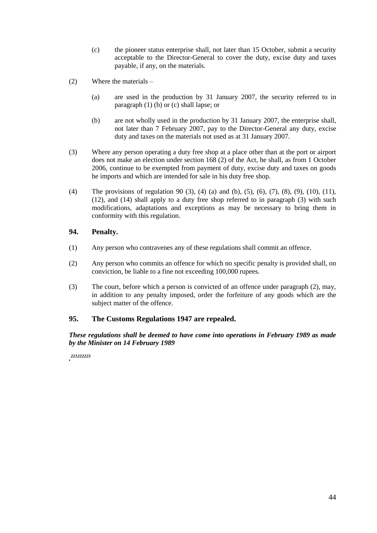- (c) the pioneer status enterprise shall, not later than 15 October, submit a security acceptable to the Director-General to cover the duty, excise duty and taxes payable, if any, on the materials.
- (2) Where the materials
	- (a) are used in the production by 31 January 2007, the security referred to in paragraph (1) (b) or (c) shall lapse; or
	- (b) are not wholly used in the production by 31 January 2007, the enterprise shall, not later than 7 February 2007, pay to the Director-General any duty, excise duty and taxes on the materials not used as at 31 January 2007.
- (3) Where any person operating a duty free shop at a place other than at the port or airport does not make an election under section 168 (2) of the Act, he shall, as from 1 October 2006, continue to be exempted from payment of duty, excise duty and taxes on goods he imports and which are intended for sale in his duty free shop.
- (4) The provisions of regulation 90 (3), (4) (a) and (b), (5), (6), (7), (8), (9), (10), (11), (12), and (14) shall apply to a duty free shop referred to in paragraph (3) with such modifications, adaptations and exceptions as may be necessary to bring them in conformity with this regulation.

#### <span id="page-43-0"></span>**94. Penalty.**

- (1) Any person who contravenes any of these regulations shall commit an offence.
- (2) Any person who commits an offence for which no specific penalty is provided shall, on conviction, be liable to a fine not exceeding 100,000 rupees.
- (3) The court, before which a person is convicted of an offence under paragraph (2), may, in addition to any penalty imposed, order the forfeiture of any goods which are the subject matter of the offence.

#### <span id="page-43-1"></span>**95. The Customs Regulations 1947 are repealed.**

*These regulations shall be deemed to have come into operations in February 1989 as made by the Minister on 14 February 1989*

*. 221222223*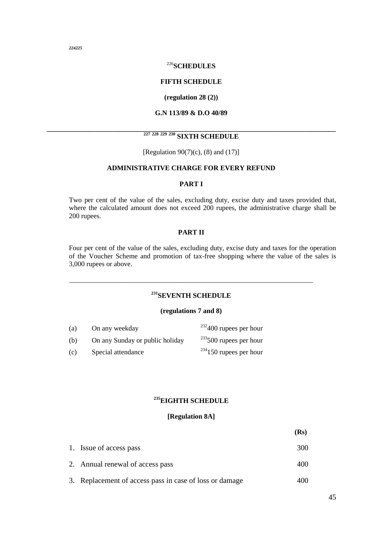*224225*

#### <sup>226</sup>**SCHEDULES**

#### **FIFTH SCHEDULE**

#### **(regulation 28 (2))**

#### **G.N 113/89 & D.O 40/89**

#### **\_\_\_\_\_\_\_\_\_\_\_\_\_\_\_\_\_\_\_\_\_\_\_\_\_\_\_\_\_\_\_\_\_\_\_\_\_\_\_\_\_\_\_\_\_\_\_\_\_\_\_\_\_\_\_\_\_\_\_\_\_\_\_\_\_\_\_\_\_\_\_\_\_\_\_\_\_\_\_\_\_\_\_ <sup>227</sup> <sup>228</sup> <sup>229</sup> <sup>230</sup> SIXTH SCHEDULE**

[Regulation 90(7)(c), (8) and (17)]

#### **ADMINISTRATIVE CHARGE FOR EVERY REFUND**

#### **PART I**

Two per cent of the value of the sales, excluding duty, excise duty and taxes provided that, where the calculated amount does not exceed 200 rupees, the administrative charge shall be 200 rupees.

#### **PART II**

Four per cent of the value of the sales, excluding duty, excise duty and taxes for the operation of the Voucher Scheme and promotion of tax-free shopping where the value of the sales is 3,000 rupees or above.

#### **<sup>231</sup>SEVENTH SCHEDULE**

\_\_\_\_\_\_\_\_\_\_\_\_\_\_\_\_\_\_\_\_\_\_\_\_\_\_\_\_\_\_\_\_\_\_\_\_\_\_\_\_\_\_\_\_\_\_\_\_\_\_\_\_\_\_\_\_\_\_\_\_\_\_\_\_\_\_\_\_\_\_

#### **(regulations 7 and 8)**

| (a) | On any weekday                  | $232400$ rupees per hour     |
|-----|---------------------------------|------------------------------|
| (b) | On any Sunday or public holiday | $^{233}$ 500 rupees per hour |
| (c) | Special attendance              | $^{234}$ 150 rupees per hour |

#### **<sup>235</sup>EIGHTH SCHEDULE**

#### **[Regulation 8A]**

|                                                         | (Rs) |
|---------------------------------------------------------|------|
| 1. Issue of access pass                                 | 300  |
| 2. Annual renewal of access pass                        | 400  |
| 3. Replacement of access pass in case of loss or damage | 40O  |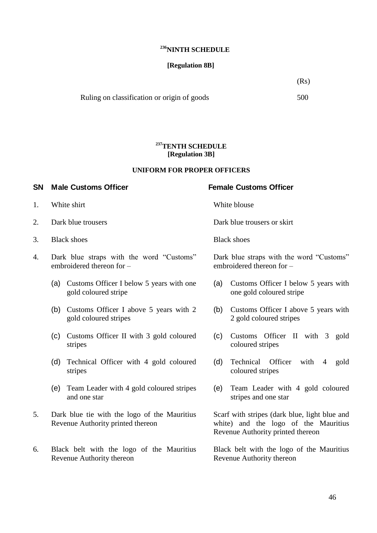#### **<sup>236</sup>NINTH SCHEDULE**

#### **[Regulation 8B]**

 $(Rs)$ 

Ruling on classification or origin of goods 500

#### **<sup>237</sup>TENTH SCHEDULE [Regulation 3B]**

#### **UNIFORM FOR PROPER OFFICERS**

#### **SN Male Customs Officer Female Customs Officer**

- 1. White shirt White blouse
- 
- 3. Black shoes Black shoes
- 4. Dark blue straps with the word "Customs" embroidered thereon for –
	- (a) Customs Officer I below 5 years with one gold coloured stripe
	- (b) Customs Officer I above 5 years with 2 gold coloured stripes
	- (c) Customs Officer II with 3 gold coloured stripes
	- (d) Technical Officer with 4 gold coloured stripes
	- (e) Team Leader with 4 gold coloured stripes and one star
- 5. Dark blue tie with the logo of the Mauritius Revenue Authority printed thereon
- 6. Black belt with the logo of the Mauritius Revenue Authority thereon

2. Dark blue trousers **Dark blue trousers** Dark blue trousers or skirt

Dark blue straps with the word "Customs" embroidered thereon for –

- (a) Customs Officer I below 5 years with one gold coloured stripe
- (b) Customs Officer I above 5 years with 2 gold coloured stripes
- (c) Customs Officer II with 3 gold coloured stripes
- (d) Technical Officer with 4 gold coloured stripes
- (e) Team Leader with 4 gold coloured stripes and one star

Scarf with stripes (dark blue, light blue and white) and the logo of the Mauritius Revenue Authority printed thereon

Black belt with the logo of the Mauritius Revenue Authority thereon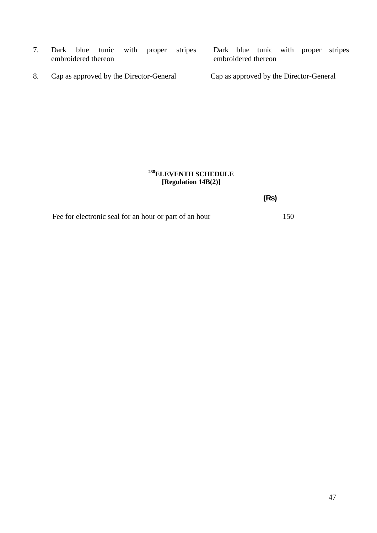- 7. Dark blue tunic with proper stripes embroidered thereon
- 8. Cap as approved by the Director-General Cap as approved by the Director-General

Dark blue tunic with proper stripes embroidered thereon

#### **<sup>238</sup>ELEVENTH SCHEDULE [Regulation 14B(2)]**

**(Rs)**

Fee for electronic seal for an hour or part of an hour 150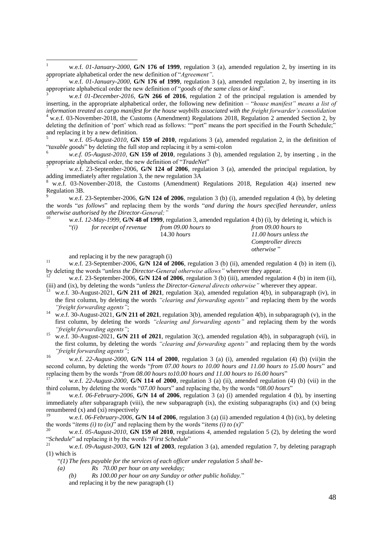$\mathbf{1}$ <sup>1</sup> w.e.f. *01-January-2000,* **G/N 176 of 1999**, regulation 3 (a), amended regulation 2, by inserting in its appropriate alphabetical order the new definition of "Agreement".

<sup>2</sup> w.e.f. *01-January-2000,* **G/N 176 of 1999**, regulation 3 (a), amended regulation 2, by inserting in its appropriate alphabetical order the new definition of "goods of the same class or kind".

<sup>3</sup> w.e.f *01-December-2016*, **G/N 266 of 2016**, regulation 2 of the principal regulation is amended by inserting, in the appropriate alphabetical order, the following new definition – "house manifest" means a list of *information treated as cargo manifest for the house waybills associated with the freight forwarder's consolidation*  $4$  w.e.f. 03-November-2018, the Customs (Amendment) Regulations 2018, Regulation 2 amended Section 2, by deleting the definition of 'port' which read as follows: ""port" means the port specified in the Fourth Schedule;" and replacing it by a new definition.

<sup>5</sup> w.e.f. *05-August-2010*, **GN 159 of 2010**, regulations 3 (a), amended regulation 2, in the definition of "*taxable goods*" by deleting the full stop and replacing it by a semi-colon  $\frac{6}{5}$ 

<sup>6</sup> *w.e.f. 05-August-2010*, **GN 159 of 2010**, regulations 3 (b), amended regulation 2, by inserting , in the appropriate alphabetical order, the new definition of "*TradeNet*"

w.e.f. 23-September-2006, G/N 124 of 2006, regulation 3 (a), amended the principal regulation, by adding immediately after regulation 3, the new regulation 3A

w.e.f. 03-November-2018, the Customs (Amendment) Regulations 2018, Regulation 4(a) inserted new Regulation 3B.

<sup>9</sup> w.e.f. 23-September-2006, **G/N 124 of 2006**, regulation 3 (b) (i), amended regulation 4 (b), by deleting the words "as follows" and replacing them by the words "and during the hours specified hereunder, unless *otherwise authorised by the Director-General;"*

w.e.f. 12-May-1999, **G/N 48 of 1999**, regulation 3, amended regulation 4 (b) (i), by deleting it, which is

| ``(i) | for receipt of revenue | from 09.00 hours to | from 09.00 hours to    |
|-------|------------------------|---------------------|------------------------|
|       |                        | $14.30$ hours       | 11.00 hours unless the |
|       |                        |                     | Comptroller directs    |
|       |                        |                     | otherwise"             |

and replacing it by the new paragraph (i)

<sup>11</sup> w.e.f. 23-September-2006, **G/N 124 of 2006**, regulation 3 (b) (ii), amended regulation 4 (b) in item (i), by deleting the words "*unless the Director-General otherwise allows*" wherever they appear.

w.e.f. 23-September-2006, **G/N 124 of 2006**, regulation 3 (b) (iii), amended regulation 4 (b) in item (ii), (iii) and (ix), by deleting the words "*unless the Director-General directs otherwise*" wherever they appear.

- <sup>13</sup> w.e.f. 30-August-2021, **G/N 211 of 2021**, regulation 3(a), amended regulation 4(b), in subparagraph (iv), in the first column, by deleting the words *"clearing and forwarding agents"* and replacing them by the words *"freight forwarding agents"*;
- <sup>14</sup> w.e.f. 30-August-2021, **G/N 211 of 2021**, regulation 3(b), amended regulation 4(b), in subparagraph (v), in the first column, by deleting the words *"clearing and forwarding agents"* and replacing them by the words *"freight forwarding agents"*;
- <sup>15</sup> w.e.f. 30-August-2021, **G/N 211 of 2021**, regulation 3(c), amended regulation 4(b), in subparagraph (vii), in the first column, by deleting the words *"clearing and forwarding agents"* and replacing them by the words *"freight forwarding agents"*;

<sup>16</sup> w.e.f. *22-August-2000,* **G/N 114 of 2000**, regulation 3 (a) (i), amended regulation (4) (b) (vii)in the second column, by deleting the words "from 07.00 hours to 10.00 hours and 11.00 hours to 15.00 hours" and replacing them by the words "*from 08.00 hours to10.00 hours and 11.00 hours to 16.00 hours*"

<sup>17</sup> w.e.f. *22-August-2000,* **G/N 114 of 2000**, regulation 3 (a) (ii), amended regulation (4) (b) (vii) in the third column, by deleting the words "07.00 *hours*" and replacing the, by the words "08.00 *hours*"

w.e.f. *06-February-2006*, **G/N 14 of 2006**, regulation 3 (a) (i) amended regulation 4 (b), by inserting immediately after subparagraph (viii), the new subparagraph (ix), the existing subparagraphs (ix) and (x) being renumbered (x) and (xi) respectively

w.e.f. 06-February-2006, **G/N 14 of 2006**, regulation 3 (a) (ii) amended regulation 4 (b) (ix), by deleting the words "*items (i) to (ix)*" and replacing them by the words "*items (i) to (x)*"<br><sup>20</sup>

<sup>20</sup> w.e.f. *05-August-2010*, **GN 159 of 2010**, regulations 4, amended regulation 5 (2), by deleting the word "Schedule" ad replacing it by the words "*First Schedule*"<br><sup>21</sup> was f 00 Avevet 2002, C/N 121 of 2003, regul

w.e.f. 09-August-2003, **G/N 121 of 2003**, regulation 3 (a), amended regulation 7, by deleting paragraph (1) which is

―*(1) The fees payable for the services of each officer under regulation 5 shall be-*

- *(a) Rs 70.00 per hour on any weekday;*
	- *(b) Rs 100.00 per hour on any Sunday or other public holiday.*‖ and replacing it by the new paragraph (1)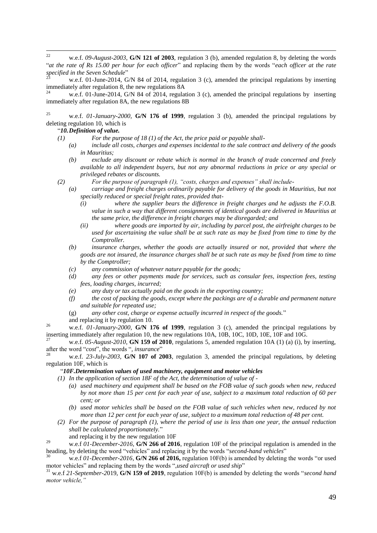$22$ <sup>22</sup> w.e.f. *09-August-2003*, **G/N 121 of 2003**, regulation 3 (b), amended regulation 8, by deleting the words ―*at the rate of Rs 15.00 per hour for each officer*‖ and replacing them by the words ―*each officer at the rate*  specified in the Seven Schedule"

w.e.f. 01-June-2014, G/N 84 of 2014, regulation 3 (c), amended the principal regulations by inserting immediately after regulation 8, the new regulations 8A

w.e.f. 01-June-2014, G/N 84 of 2014, regulation 3 (c), amended the principal regulations by inserting immediately after regulation 8A, the new regulations 8B

<sup>25</sup> w.e.f. *01-January-2000,* **G/N 176 of 1999**, regulation 3 (b), amended the principal regulations by deleting regulation 10, which is

#### ―*10.Definition of value.*

- *(1) For the purpose of 18 (1) of the Act, the price paid or payable shall-*
	- *(a) include all costs, charges and expenses incidental to the sale contract and delivery of the goods in Mauritius;*
	- *(b) exclude any discount or rebate which is normal in the branch of trade concerned and freely available to all independent buyers, but not any abnormal reductions in price or any special or privileged rebates or discounts.*
- *(2) For the purpose of paragraph (1), "costs, charges and expenses" shall include-*
	- *(a) carriage and freight charges ordinarily payable for delivery of the goods in Mauritius, but not specially reduced or special freight rates, provided that-*
		- *(i) where the supplier bears the difference in freight charges and he adjusts the F.O.B. value in such a way that different consignments of identical goods are delivered in Mauritius at the same price, the difference in freight charges may be disregarded; and*
		- *(ii) where goods are imported by air, including by parcel post, the airfreight charges to be used for ascertaining the value shall be at such rate as may be fixed from time to time by the Comptroller.*
	- *(b) insurance charges, whether the goods are actually insured or not, provided that where the goods are not insured, the insurance charges shall be at such rate as may be fixed from time to time by the Comptroller;*
	- *(c) any commission of whatever nature payable for the goods;*
	- *(d) any fees or other payments made for services, such as consular fees, inspection fees, testing fees, loading charges, incurred;*
	- *(e) any duty or tax actually paid on the goods in the exporting country;*
	- *(f) the cost of packing the goods, except where the packings are of a durable and permanent nature and suitable for repeated use;*
	- (g) any other cost, charge or expense actually incurred in respect of the goods."
	- and replacing it by regulation 10.

<sup>26</sup> w.e.f. *01-January-2000*, **G/N 176 of 1999**, regulation 3 (c), amended the principal regulations by inserting immediately after regulation 10, the new regulations 10A, 10B, 10C, 10D, 10E, 10F and 10G.

<sup>27</sup> w.e.f. *05-August-2010*, **GN 159 of 2010**, regulations 5, amended regulation 10A (1) (a) (i), by inserting, after the word "cost", the words ", insurance"

<sup>28</sup> w.e.f. *23-July-2003*, **G/N 107 of 2003**, regulation 3, amended the principal regulations, by deleting regulation 10F, which is

#### ―*10F.Determination values of used machinery, equipment and motor vehicles*

*(1) In the application of section 18F of the Act, the determination of value of -*

- *(a) used machinery and equipment shall be based on the FOB value of such goods when new, reduced by not more than 15 per cent for each year of use, subject to a maximum total reduction of 60 per cent; or*
- *(b) used motor vehicles shall be based on the FOB value of such vehicles when new, reduced by not more than 12 per cent for each year of use, subject to a maximum total reduction of 48 per cent.*
- *(2) For the purpose of paragraph (1), where the period of use is less than one year, the annual reduction shall be calculated proportionately.*‖
	- and replacing it by the new regulation 10F

<sup>29</sup> w.e.f *01-December-2016*, **G/N 266 of 2016**, regulation 10F of the principal regulation is amended in the heading, by deleting the word "vehicles" and replacing it by the words "second-hand vehicles"

w.e.f 01-December-2016, G/N 266 of 2016, regulation 10F(b) is amended by deleting the words "or used motor vehicles" and replacing them by the words ",used aircraft or used ship"

<sup>31</sup> w.e.f 21-September-2019, G/N 159 of 2019, regulation 10F(b) is amended by deleting the words "second hand *motor vehicle,"*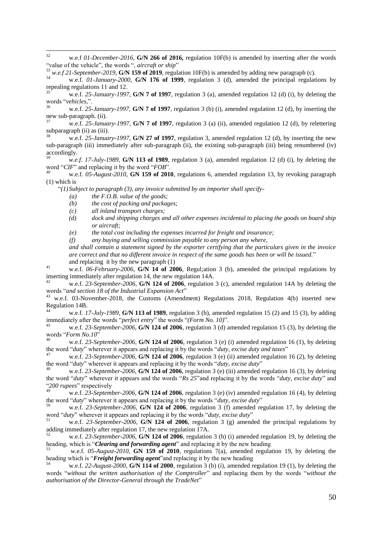$32$ w.e.f 01-December-2016, **G/N 266 of 2016**, regulation 10F(b) is amended by inserting after the words "value of the vehicle", the words ", *aircraft or ship*"

 $^{33}$  *w.e.f 21-September-2019*, **G/N 159 of 2019**, regulation 10F(b) is amended by adding new paragraph (c).

<sup>34</sup> w.e.f. *01-January-2000,* **G/N 176 of 1999**, regulation 3 (d), amended the principal regulations by repealing regulations 11 and 12.

<sup>35</sup> w.e.f. *25-January-1997*, **G/N 7 of 1997**, regulation 3 (a), amended regulation 12 (d) (i), by deleting the words ―*vehicles,*‖.

w.e.f. 25-January-1997, **G/N 7 of 1997**, regulation 3 (b) (i), amended regulation 12 (d), by inserting the new sub-paragraph. (ii).

<sup>37</sup> w.e.f. *25-January-1997*, **G/N 7 of 1997**, regulation 3 (a) (ii), amended regulation 12 (d), by relettering subparagraph (ii) as (iii).

w.e.f. 25-January-1997, **G/N 27 of 1997**, regulation 3, amended regulation 12 (d), by inserting the new sub-paragraph (iii) immediately after sub-paragraph (ii), the existing sub-paragraph (iii) being renumbered (iv) accordingly.

w.e.f. 17-July-1989, **G/N 113 of 1989**, regulation 3 (a), amended regulation 12 (d) (i), by deleting the word "*CIF*" and replacing it by the word "*FOB*".

<sup>40</sup> w.e.f. *05-August-2010*, **GN 159 of 2010**, regulations 6, amended regulation 13, by revoking paragraph (1) which is

―*(1) Subject to paragraph (3), any invoice submitted by an importer shall specify-*

- *(a) the F.O.B. value of the goods;*
- *(b) the cost of packing and packages;*
- *(c) all inland transport charges;*
- *(d) dock and shipping charges and all other expenses incidental to placing the goods on board ship or aircraft;*

*(e) the total cost including the expenses incurred for freight and insurance;*

*(f) any buying and selling commission payable to any person any where,*

*and shall contain a statement signed by the exporter certifying that the particulars given in the invoice are correct and that no different invoice in respect of the same goods has been or will be issued.*‖ and replacing it by the new paragraph (1)

<sup>41</sup> w.e.f. *06-February-2006*, **G/N 14 of 2006**, Regul;ation 3 (b), amended the principal regulations by inserting immediately after regulation 14, the new regulation 14A.

<sup>42</sup> w.e.f. *23-September-2006*, **G/N 124 of 2006**, regulation 3 (c), amended regulation 14A by deleting the words "and section 18 of the Industrial Expansion Act"

<sup>43</sup> w.e.f. 03-November-2018, the Customs (Amendment) Regulations 2018, Regulation 4(b) inserted new Regulation 14B.

<sup>44</sup> w.e.f. *17-July-1989*, **G/N 113 of 1989**, regulation 3 (b), amended regulation 15 (2) and 15 (3), by adding immediately after the words "perfect entry" the words "(Form No. 10)".

w.e.f. 23-September-2006, **G/N 124 of 2006**, regulation 3 (d) amended regulation 15 (3), by deleting the words "Form No.10"

w.e.f. 23-September-2006, **G/N 124 of 2006**, regulation 3 (e) (i) amended regulation 16 (1), by deleting the word "*duty*" wherever it appears and replacing it by the words "*duty, excise duty and taxes*"

w.e.f. 23-September-2006, **G/N 124 of 2006**, regulation 3 (e) (ii) amended regulation 16 (2), by deleting the word "*duty*" wherever it appears and replacing it by the words "*duty, excise duty*"

w.e.f. 23-September-2006, **G/N 124 of 2006**, regulation 3 (e) (iii) amended regulation 16 (3), by deleting the word "*duty*" wherever it appears and the words "Rs 25" and replacing it by the words "*duty, excise duty*" and "200 rupees" respectively

w.e.f. 23-September-2006, **G/N 124 of 2006**, regulation 3 (e) (iv) amended regulation 16 (4), by deleting the word "duty" wherever it appears and replacing it by the words "duty, excise duty"

w.e.f. 23-September-2006, G/N 124 of 2006, regulation 3 (f) amended regulation 17, by deleting the word "*duty*" wherever it appears and replacing it by the words "*duty, excise duty*"

<sup>51</sup> w.e.f. *23-September-2006,* **G/N 124 of 2006**, regulation 3 (g) amended the principal regulations by adding immediately after regulation 17, the new regulation 17A.

<sup>52</sup> w.e.f. *23-September-2006,* **G/N 124 of 2006**, regulation 3 (h) (i) amended regulation 19, by deleting the heading, which is "*Clearing and forwarding agent*" and replacing it by the new heading

<sup>53</sup> w.e.f. *05-August-2010*, **GN 159 of 2010**, regulations 7(a), amended regulation 19, by deleting the heading which is "**Freight forwarding agent**" and replacing it by the new heading  $\frac{54}{1000}$  and  $\frac{2000}{1000}$  and  $\frac{2000}{1000}$  and  $\frac{1}{2000}$  and  $\frac{1}{2000}$  and  $\frac{1}{2000}$  and  $\frac{1}{2000}$  and  $\frac{1}{2000}$  a

w.e.f. 22-August-2000, **G/N 114 of 2000**, regulation 3 (b) (i), amended regulation 19 (1), by deleting the words "without the written authorisation of the Comptroller" and replacing them by the words "without the *authorisation of the Director-General through the TradeNet*"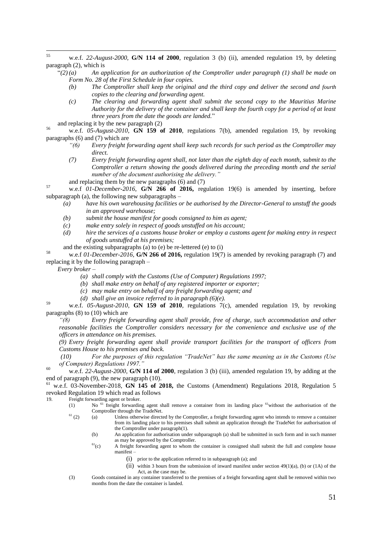- 55 <sup>55</sup> w.e.f. *22-August-2000,* **G/N 114 of 2000**, regulation 3 (b) (ii), amended regulation 19, by deleting paragraph (2), which is
	- $\binom{n}{2}(a)$  An application for an authorization of the Comptroller under paragraph (1) shall be made on *Form No. 28 of the First Schedule in four copies.*
		- *(b) The Comptroller shall keep the original and the third copy and deliver the second and fourth copies to the clearing and forwarding agent.*
		- *(c) The clearing and forwarding agent shall submit the second copy to the Mauritius Marine Authority for the delivery of the container and shall keep the fourth copy for a period of at least three years from the date the goods are landed.*‖
- and replacing it by the new paragraph (2)

<sup>56</sup> w.e.f. *05-August-2010*, **GN 159 of 2010**, regulations 7(b), amended regulation 19, by revoking paragraphs (6) and (7) which are

- *"(6) Every freight forwarding agent shall keep such records for such period as the Comptroller may direct.*
- *(7) Every freight forwarding agent shall, not later than the eighth day of each month, submit to the Comptroller a return showing the goods delivered during the preceding month and the serial number of the document authorising the delivery."*
- and replacing them by the new paragraphs (6) and (7)

<sup>57</sup> w.e.f *01-December-2016*, **G/N 266 of 2016,** regulation 19(6) is amended by inserting, before subparagraph (a), the following new subparagraphs –

- *(a) have his own warehousing facilities or be authorised by the Director-General to unstuff the goods in an approved warehouse;*
- *(b) submit the house manifest for goods consigned to him as agent;*
- *(c) make entry solely in respect of goods unstuffed on his account;*
- *(d) hire the services of a customs house broker or employ a customs agent for making entry in respect of goods unstuffed at his premises;*
- and the existing subparagraphs (a) to (e) be re-lettered (e) to (i)

<sup>58</sup> w.e.f *01-December-2016*, **G/N 266 of 2016,** regulation 19(7) is amended by revoking paragraph (7) and replacing it by the following paragraph –

*Every broker –*

- *(a) shall comply with the Customs (Use of Computer) Regulations 1997;*
- *(b) shall make entry on behalf of any registered importer or exporter;*
- *(c) may make entry on behalf of any freight forwarding agent; and*
- *(d) shall give an invoice referred to in paragraph (6)(e).*

<sup>59</sup> w.e.f. *05-August-2010*, **GN 159 of 2010**, regulations 7(c), amended regulation 19, by revoking paragraphs (8) to (10) which are

*"(8) Every freight forwarding agent shall provide, free of charge, such accommodation and other reasonable facilities the Comptroller considers necessary for the convenience and exclusive use of the officers in attendance on his premises.*

*(9) Every freight forwarding agent shall provide transport facilities for the transport of officers from Customs House to his premises and back.*

*(10) For the purposes of this regulation "TradeNet" has the same meaning as in the Customs (Use of Computer) Regulations 1997."*

<sup>60</sup> w.e.f. *22-August-2000,* **G/N 114 of 2000**, regulation 3 (b) (iii), amended regulation 19, by adding at the end of paragraph (9), the new paragraph (10).

<sup>61</sup> w.e.f. 03-November-2018, **GN 145 of 2018,** the Customs (Amendment) Regulations 2018, Regulation 5 revoked Regulation 19 which read as follows

19. Freight forwarding agent or broker.

- (1) No  $61$  freight forwarding agent shall remove a container from its landing place  $61$  without the authorisation of the Comptroller through the TradeNet.
- $(2)$  (a) Unless otherwise directed by the Comptroller, a freight forwarding agent who intends to remove a container from its landing place to his premises shall submit an application through the TradeNet for authorisation of the Comptroller under paragraph(1).
	- (b) An application for authorisation under subparagraph (a) shall be submitted in such form and in such manner as may be approved by the Comptroller.
	- $<sup>61</sup>(c)$  A freight forwarding agent to whom the container is consigned shall submit the full and complete house</sup> manifest –
		- (i) prior to the application referred to in subparagraph (a); and
		- (ii) within 3 hours from the submission of inward manifest under section  $49(1)(a)$ , (b) or (1A) of the Act, as the case may be.
- (3) Goods contained in any container transferred to the premises of a freight forwarding agent shall be removed within two months from the date the container is landed.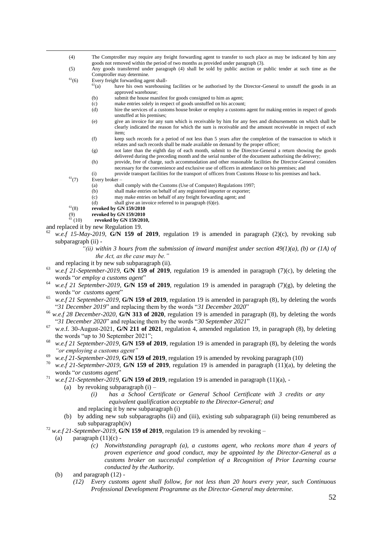- (4) The Comptroller may require any freight forwarding agent to transfer to such place as may be indicated by him any goods not removed within the period of two months as provided under paragraph (3).
- (5) Any goods transferred under paragraph (4) shall be sold by public auction or public tender at such time as the Comptroller may determine.
- <sup>61</sup>(6) Every freight forwarding agent shall-<br><sup>61</sup>(a) have his own warehousin
	- have his own warehousing facilities or be authorised by the Director-General to unstuff the goods in an approved warehouse;
		- (b) submit the house manifest for goods consigned to him as agent;
		- (c) make entries solely in respect of goods unstuffed on his account;
		- (d) hire the services of a customs house broker or employ a customs agent for making entries in respect of goods unstuffed at his premises;
		- (e) give an invoice for any sum which is receivable by him for any fees and disbursements on which shall be clearly indicated the reason for which the sum is receivable and the amount receiveable in respect of each item;
		- (f) keep such records for a period of not less than 5 years after the completion of the transaction to which it relates and such records shall be made available on demand by the proper officer;
		- (g) not later than the eighth day of each month, submit to the Director-General a return showing the goods delivered during the preceding month and the serial number of the document authorising the delivery;
		- (h) provide, free of charge, such accommodation and other reasonable facilities the Director-General considers necessary for the convenience and exclusive use of officers in attendance on his premises; and
		- (i) provide transport facilities for the transport of officers from Customs House to his premises and back.
- $^{61}(7)$  Every broker

 $\overline{a}$ 

- (a) shall comply with the Customs (Use of Computer) Regulations 1997;
- (b) shall make entries on behalf of any registered importer or exporter;
- (c) may make entries on behalf of any freight forwarding agent; and
- (d) shall give an invoice referred to in paragraph (6)(e).
- <sup>61</sup>(8) **revoked by GN 159/2010**
- (9) **revoked by GN 159/2010**<br><sup>61</sup> (10) **revoked by GN 159/201**
- revoked by GN 159/2010,
- and replaced it by new Regulation 19.
- w.e.f 15-May-2019, **G/N 159 of 2019**, regulation 19 is amended in paragraph (2)(c), by revoking sub subparagraph (ii) -
	- *"(ii) within 3 hours from the submission of inward manifest under section 49(1)(a), (b) or (1A) of the Act, as the case may be."*
	- and replacing it by new sub subparagraph (ii).
- <sup>63</sup> *w.e.f 21-September-2019*, **G/N 159 of 2019**, regulation 19 is amended in paragraph (7)(c), by deleting the words "or employ a customs agent"
- <sup>64</sup> *w.e.f 21 September-2019*, **G/N 159 of 2019**, regulation 19 is amended in paragraph (7)(g), by deleting the words "*or customs agent*"
- <sup>65</sup> *w.e.f 21 September-2019*, **G/N 159 of 2019**, regulation 19 is amended in paragraph (8), by deleting the words "31 December 2019" and replacing them by the words "31 December 2020"
- <sup>66</sup> *w.e.f 28 December-2020*, **G/N 313 of 2020**, regulation 19 is amended in paragraph (8), by deleting the words "31 December 2020" and replacing them by the words "30 September 2021"
- $67$  w.e.f. 30-August-2021, G/N 211 of 2021, regulation 4, amended regulation 19, in paragraph (8), by deleting the words "up to 30 September 2021";
- <sup>68</sup> *w.e.f 21 September-2019*, **G/N 159 of 2019**, regulation 19 is amended in paragraph (8), by deleting the words *"or employing a customs agent"*
- $\frac{69}{w.e.f}$  21-September-2019, **G/N 159 of 2019**, regulation 19 is amended by revoking paragraph (10)
- w.e.f 21-September-2019, **G/N 159 of 2019**, regulation 19 is amended in paragraph (11)(a), by deleting the words "or customs agent"
- <sup>71</sup> *w.e.f 21-September-2019*, **G/N 159 of 2019**, regulation 19 is amended in paragraph (11)(a),
	- (a) by revoking subparagraph (i)
		- *(i) has a School Certificate or General School Certificate with 3 credits or any equivalent qualification acceptable to the Director-General; and*
		- and replacing it by new subparagraph (i)
	- (b) by adding new sub subparagraphs (ii) and (iii), existing sub subparagraph (ii) being renumbered as sub subparagraph(iv)
- <sup>72</sup> *w.e.f* 21-September-2019, **G/N 159 of 2019**, regulation 19 is amended by revoking
	- (a) paragraph  $(11)(c)$  -
		- *(c) Notwithstanding paragraph (a), a customs agent, who reckons more than 4 years of proven experience and good conduct, may be appointed by the Director-General as a customs broker on successful completion of a Recognition of Prior Learning course conducted by the Authority.*
	- (b) and paragraph (12)
		- *(12) Every customs agent shall follow, for not less than 20 hours every year, such Continuous Professional Development Programme as the Director-General may determine.*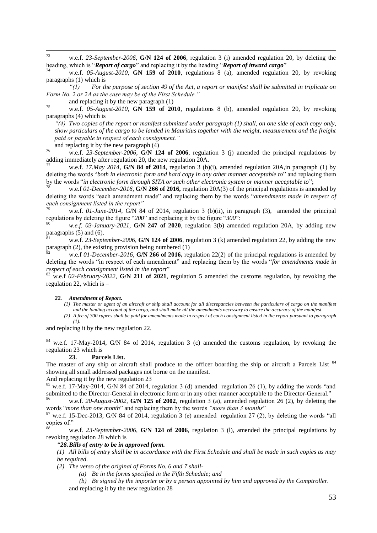$73$ <sup>73</sup> w.e.f. *23-September-2006,* **G/N 124 of 2006**, regulation 3 (i) amended regulation 20, by deleting the heading, which is "*Report of cargo*" and replacing it by the heading "*Report of inward cargo*"

<sup>74</sup> w.e.f. *05-August-2010*, **GN 159 of 2010**, regulations 8 (a), amended regulation 20, by revoking paragraphs (1) which is

*"(1) For the purpose of section 49 of the Act, a report or manifest shall be submitted in triplicate on Form No. 2 or 2A as the case may be of the First Schedule."* 

and replacing it by the new paragraph (1)

<sup>75</sup> w.e.f. *05-August-2010*, **GN 159 of 2010**, regulations 8 (b), amended regulation 20, by revoking paragraphs (4) which is

*"(4) Two copies of the report or manifest submitted under paragraph (1) shall, on one side of each copy only, show particulars of the cargo to be landed in Mauritius together with the weight, measurement and the freight paid or payable in respect of each consignment."*

and replacing it by the new paragraph (4)

<sup>76</sup> w.e.f. *23-September-2006,* **G/N 124 of 2006**, regulation 3 (j) amended the principal regulations by adding immediately after regulation 20, the new regulation 20A.

<sup>77</sup> w.e.f. *17.May 2014*, **G/N 84 of 2014**, regulation 3 (b)(i), amended regulation 20A,in paragraph (1) by deleting the words "both in electronic form and hard copy in any other manner acceptable to" and replacing them by the words "in electronic form through SITA or such other electronic system or manner acceptable to";

<sup>78</sup> w.e.f *01-December-2016*, **G/N 266 of 2016,** regulation 20A(3) of the principal regulations is amended by deleting the words "each amendment made" and replacing them by the words "amendments made in respect of *each consignment listed in the report"*

<sup>79</sup> w.e.f. *01-June-2014*, G/N 84 of 2014, regulation 3 (b)(ii), in paragraph (3), amended the principal regulations by deleting the figure "200" and replacing it by the figure "300":

w.e.f. 03-January-2021, **G/N 247 of 2020**, regulation 3(b) amended regulation 20A, by adding new paragraphs  $(5)$  and  $(6)$ .

w.e.f. 23-September-2006, **G/N 124 of 2006**, regulation 3 (k) amended regulation 22, by adding the new paragraph (2), the existing provision being numbered (1)

<sup>82</sup> w.e.f *01-December-2016*, **G/N 266 of 2016,** regulation 22(2) of the principal regulations is amended by deleting the words "in respect of each amendment" and replacing them by the words "for amendments made in *respect of each consignment listed in the report*"

<sup>83</sup> w.e.f *02-February-2022*, **G/N 211 of 2021**, regulation 5 amended the customs regulation, by revoking the regulation 22, which is –

#### *22. Amendment of Report.*

*(1) The master or agent of an aircraft or ship shall account for all discrepancies between the particulars of cargo on the manifest and the landing account of the cargo, and shall make all the amendments necessary to ensure the accuracy of the manifest.*

*(2) A fee of 300 rupees shall be paid for amendments made in respect of each consignment listed in the report pursuant to paragraph (1).*

and replacing it by the new regulation 22.

<sup>84</sup> w.e.f. 17-May-2014, G/N 84 of 2014, regulation 3 (c) amended the customs regulation, by revoking the regulation 23 which is

#### **23. Parcels List.**

The master of any ship or aircraft shall produce to the officer boarding the ship or aircraft a Parcels List  $84$ showing all small addressed packages not borne on the manifest.

And replacing it by the new regulation 23

85 w.e.f. 17-May-2014, G/N 84 of 2014, regulation 3 (d) amended regulation 26 (1), by adding the words "and submitted to the Director-General in electronic form or in any other manner acceptable to the Director-General."

w.e.f. 20-August-2002, **G/N 125 of 2002**, regulation 3 (a), amended regulation 26 (2), by deleting the words "more than one month" and replacing them by the words "more than 3 months"

 $87$  w.e.f. 15-Dec-2013, G/N 84 of 2014, regulation 3 (e) amended regulation 27 (2), by deleting the words "all copies of."

w.e.f. 23-September-2006, G/N 124 of 2006, regulation 3 (1), amended the principal regulations by revoking regulation 28 which is

#### ―*28.Bills of entry to be in approved form.*

*(1) All bills of entry shall be in accordance with the First Schedule and shall be made in such copies as may be required.*

*(2) The verso of the original of Forms No. 6 and 7 shall-*

*(a) Be in the forms specified in the Fifth Schedule; and*

*(b) Be signed by the importer or by a person appointed by him and approved by the Comptroller.* and replacing it by the new regulation 28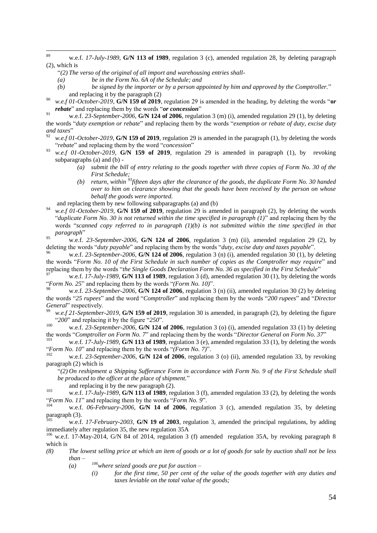89 w.e.f. 17-July-1989, **G/N 113 of 1989**, regulation 3 (c), amended regulation 28, by deleting paragraph (2), which is

- ―*(2) The verso of the original of all import and warehousing entries shall-*
- *(a) be in the Form No. 6A of the Schedule; and*
- *(b) be signed by the importer or by a person appointed by him and approved by the Comptroller.*‖ and replacing it by the paragraph (2)
- <sup>90</sup> *w.e.f 01-October-2019*, **G/N 159 of 2019**, regulation 29 is amended in the heading, by deleting the words "or *rebate*" and replacing them by the words "*or concession*"
- <sup>91</sup> w.e.f. 23-September-2006, **G/N 124 of 2006**, regulation 3 (m) (i), amended regulation 29 (1), by deleting the words "*duty exemption or rebate*" and replacing them by the words "*exemption or rebate of duty, excise duty* and taxes"
- w.e.f 01-October-2019, **G/N 159 of 2019**, regulation 29 is amended in the paragraph (1), by deleting the words "*rebate*" and replacing them by the word "*concession*"
- <sup>93</sup> *w.e.f 01-October-2019*, **G/N 159 of 2019**, regulation 29 is amended in paragraph (1), by revoking subparagraphs (a) and (b) -
	- *(a) submit the bill of entry relating to the goods together with three copies of Form No. 30 of the First Schedule;*
	- *(b) return, within <sup>93</sup>fifteen days after the clearance of the goods, the duplicate Form No. 30 handed over to him on clearance showing that the goods have been received by the person on whose behalf the goods were imported.*

and replacing them by new following subparagraphs (a) and (b)

<sup>94</sup> *w.e.f 01-October-2019*, **G/N 159 of 2019**, regulation 29 is amended in paragraph (2), by deleting the words "duplicate Form No. 30 is not returned within the time specified in paragraph  $(1)$ " and replacing them by the words "scanned copy referred to in paragraph (1)(b) is not submitted within the time specified in that *paragraph*‖

<sup>95</sup> w.e.f. *23-September-2006*, **G/N 124 of 2006**, regulation 3 (m) (ii), amended regulation 29 (2), by deleting the words "*duty payable*" and replacing them by the words "*duty, excise duty and taxes payable*".

w.e.f. 23-September-2006, **G/N 124 of 2006**, regulation 3 (n) (i), amended regulation 30 (1), by deleting the words "Form No. 10 of the First Schedule in such number of copies as the Comptroller may require" and replacing them by the words "the Single Goods Declaration Form No. 36 as specified in the First Schedule"

<sup>97</sup> w.e.f. *17-July-1989*, **G/N 113 of 1989**, regulation 3 (d), amended regulation 30 (1), by deleting the words ―*Form No. 25*‖ and replacing them by the words ―*(Form No. 10)*‖.

w.e.f. 23-September-2006, **G/N 124 of 2006**, regulation 3 (n) (ii), amended regulation 30 (2) by deleting the words "25 *rupees*" and the word "*Comptroller*" and replacing them by the words "200 *rupees*" and "*Director General*" respectively.

<sup>99</sup> *w.e.f 21-September-2019*, **G/N 159 of 2019**, regulation 30 is amended, in paragraph (2), by deleting the figure ―*200*‖ and replacing it by the figure ―*250*‖.

<sup>100</sup> w.e.f. *23-September-2006*, **G/N 124 of 2006**, regulation 3 (o) (i), amended regulation 33 (1) by deleting the words "Comptroller on Form No. 7" and replacing them by the words "Director General on Form No. 37"<br><sup>101</sup>

w.e.f. 17-July-1989, **G/N 113 of 1989**, regulation 3 (e), amended regulation 33 (1), by deleting the words "Form No. 10" and replacing them by the words "(Form No. 7)".

w.e.f. 23-September-2006, G/N 124 of 2006, regulation 3 (o) (ii), amended regulation 33, by revoking paragraph (2) which is

―*(2) On reshipment a Shipping Sufferance Form in accordance with Form No. 9 of the First Schedule shall be produced to the officer at the place of shipment.*‖

and replacing it by the new paragraph (2).

<sup>103</sup> w.e.f. *17-July-1989*, **G/N 113 of 1989**, regulation 3 (f), amended regulation 33 (2), by deleting the words "Form No. 11" and replacing them by the words "Form No. 9".

w.e.f. 06-February-2006, G/N 14 of 2006, regulation 3 (c), amended regulation 35, by deleting paragraph (3).

w.e.f. 17-February-2003, G/N 19 of 2003, regulation 3, amended the principal regulations, by adding immediately after regulation 35, the new regulation 35A

<sup>106</sup> w.e.f. 17-May-2014, G/N 84 of 2014, regulation 3 (f) amended regulation 35A, by revoking paragraph 8 which is

- *(8) The lowest selling price at which an item of goods or a lot of goods for sale by auction shall not be less than –*
	- *(a) <sup>106</sup>where seized goods are put for auction –*
		- *(i) for the first time, 50 per cent of the value of the goods together with any duties and taxes leviable on the total value of the goods;*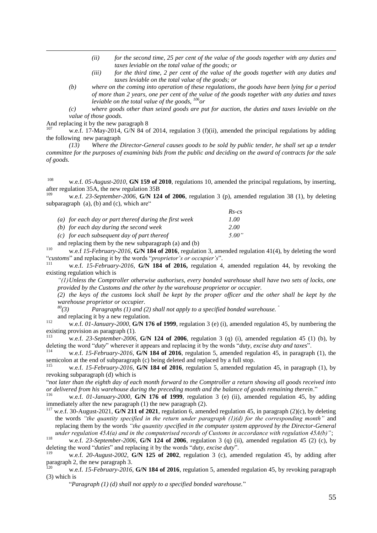- *(ii) for the second time, 25 per cent of the value of the goods together with any duties and taxes leviable on the total value of the goods; or*
- *(iii) for the third time, 2 per cent of the value of the goods together with any duties and taxes leviable on the total value of the goods; or*
- *(b) where on the coming into operation of these regulations, the goods have been lying for a period of more than 2 years, one per cent of the value of the goods together with any duties and taxes leviable on the total value of the goods, <sup>106</sup> or*

*(c) where goods other than seized goods are put for auction, the duties and taxes leviable on the value of those goods.*

And replacing it by the new paragraph 8

 $\overline{a}$ 

w.e.f. 17-May-2014, G/N 84 of 2014, regulation 3 (f)(ii), amended the principal regulations by adding the following new paragraph

*(13) Where the Director-General causes goods to be sold by public tender, he shall set up a tender committee for the purposes of examining bids from the public and deciding on the award of contracts for the sale of goods.*

<sup>108</sup> w.e.f. *05-August-2010*, **GN 159 of 2010**, regulations 10, amended the principal regulations, by inserting, after regulation 35A, the new regulation 35B

w.e.f. 23-September-2006, **G/N 124 of 2006**, regulation 3 (p), amended regulation 38 (1), by deleting subparagraph  $(a)$ ,  $(b)$  and  $(c)$ , which are"

*Rs-cs*

|                                                        | 115-CS |
|--------------------------------------------------------|--------|
| (a) for each day or part thereof during the first week | 1.00   |
| $(b)$ for each day during the second week              | 2.00   |
| $(c)$ for each subsequent day of part thereof          | 5.00"  |
|                                                        |        |

and replacing them by the new subparagraph (a) and (b)

<sup>110</sup> w.e.f *15-February-2016,* **G/N 184 of 2016**, regulation 3, amended regulation 41(4), by deleting the word ―*customs*‖ and replacing it by the words ―*proprietor's or occupier's*‖.

<sup>111</sup> w.e.f. *15-February-2016*, **G/N 184 of 2016,** regulation 4, amended regulation 44, by revoking the existing regulation which is

*"(1)Unless the Comptroller otherwise authorises, every bonded warehouse shall have two sets of locks, one provided by the Customs and the other by the warehouse proprietor or occupier.*

*(2) the keys of the customs lock shall be kept by the proper officer and the other shall be kept by the warehouse proprietor or occupier.*<br><sup>80</sup>(3) *Paragraphs* (1) *and* (

*<sup>80</sup>(3) Paragraphs (1) and (2) shall not apply to a specified bonded warehouse. "*

and replacing it by a new regulation.

<sup>112</sup> w.e.f. *01-January-2000,* **G/N 176 of 1999**, regulation 3 (e) (i), amended regulation 45, by numbering the existing provision as paragraph  $(1)$ .

w.e.f.  $23$ -September-2006, **G/N 124 of 2006**, regulation 3 (q) (i), amended regulation 45 (1) (b), by deleting the word "*duty*" wherever it appears and replacing it by the words "*duty, excise duty and taxes*".

w.e.f. 15-February-2016, **G/N 184 of 2016**, regulation 5, amended regulation 45, in paragraph (1), the semicolon at the end of subparagraph (c) being deleted and replaced by a full stop.

w.e.f. 15-February-2016, **G/N 184 of 2016**, regulation 5, amended regulation 45, in paragraph (1), by revoking subparagraph (d) which is

―*not later than the eighth day of each month forward to the Comptroller a return showing all goods received into*  or delivered from his warehouse during the preceding month and the balance of goods remaining therein."<br><sup>116</sup>

w.e.f. 01-January-2000, **G/N 176 of 1999**, regulation 3 (e) (ii), amended regulation 45, by adding immediately after the new paragraph (1) the new paragraph (2).

w.e.f. 30-August-2021, **G/N 211 of 2021**, regulation 6, amended regulation 45, in paragraph (2)(c), by deleting the words *"the quantity specified in the return under paragraph (1)(d) for the corresponding month"* and replacing them by the words *"the quantity specified in the computer system approved by the Director-General under regulation 45A(a) and in the computerised records of Customs in accordance with regulation 45A(b)"*;

<sup>118</sup> w.e.f. *23-September-2006*, **G/N 124 of 2006**, regulation 3 (q) (ii), amended regulation 45 (2) (c), by deleting the word "*duties*" and replacing it by the words "*duty, excise duty*".

w.e.f. 20-August-2002, **G/N 125 of 2002**, regulation 3 (c), amended regulation 45, by adding after paragraph 2, the new paragraph 3.

w.e.f. 15-February-2016, G/N 184 of 2016, regulation 5, amended regulation 45, by revoking paragraph (3) which is

"Paragraph (1) (d) shall not apply to a specified bonded warehouse."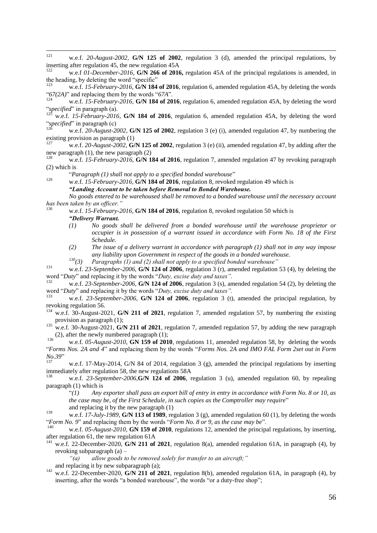$121$ <sup>121</sup> w.e.f. *20-August-2002,* **G/N 125 of 2002**, regulation 3 (d), amended the principal regulations, by inserting after regulation 45, the new regulation 45A

w.e.f *01-December-2016*, **G/N 266 of 2016**, regulation 45A of the principal regulations is amended, in the heading, by deleting the word "specific"<br> $\frac{123}{123}$ 

w.e.f. 15-February-2016, **G/N 184 of 2016**, regulation 6, amended regulation 45A, by deleting the words " $67(2A)$ " and replacing them by the words " $67A$ ".

w.e.f. 15-February-2016, G/N 184 of 2016, regulation 6, amended regulation 45A, by deleting the word "specified" in paragraph (a).<br><sup>125</sup> W. o.f., 15 Eshman, 2016

<sup>125</sup> w.e.f. *15-February-2016*, **G/N 184 of 2016**, regulation 6, amended regulation 45A, by deleting the word "*specified*" in paragraph (c)

w.e.f. 20-August-2002, **G/N 125 of 2002**, regulation 3 (e) (i), amended regulation 47, by numbering the existing provision as paragraph  $(1)$ <br> $\frac{127}{127}$  we a f. 20.4 years 2002.

<sup>127</sup> w.e.f. *20-August-2002,* **G/N 125 of 2002**, regulation 3 (e) (ii), amended regulation 47, by adding after the new paragraph (1), the new paragraph (2)

w.e.f. 15-February-2016, G/N 184 of 2016, regulation 7, amended regulation 47 by revoking paragraph (2) which is

"Paragraph (1) shall not apply to a specified bonded warehouse"

129 w.e.f. 15-February-2016, **G/N 184 of 2016**, regulation 8, revoked regulation 49 which is *"Landing Account to be taken before Removal to Bonded Warehouse.*

*No goods entered to be warehoused shall be removed to a bonded warehouse until the necessary account has been taken by an officer."*

- w.e.f. 15-February-2016, G/N 184 of 2016, regulation 8, revoked regulation 50 which is *"Delivery Warrant.*
	- *(1) No goods shall be delivered from a bonded warehouse until the warehouse proprietor or occupier is in possession of a warrant issued in accordance with Form No. 18 of the First Schedule.*
	- *(2) The issue of a delivery warrant in accordance with paragraph (1) shall not in any way impose any liability upon Government in respect of the goods in a bonded warehouse.*

*<sup>130</sup>(3) Paragraphs (1) and (2) shall not apply to a specified bonded warehouse"*

131 w.e.f. 23-September-2006, **G/N 124 of 2006**, regulation 3 (r), amended regulation 53 (4), by deleting the word "Duty" and replacing it by the words "Duty, excise duty and taxes".

w.e.f. 23-September-2006, **G/N 124 of 2006**, regulation 3 (s), amended regulation 54 (2), by deleting the word "Duty" and replacing it by the words "Duty, excise duty and taxes".<br><sup>133</sup>

<sup>133</sup> w.e.f. *23-September-2006*, **G/N 124 of 2006**, regulation 3 (t), amended the principal regulation, by revoking regulation 56.

<sup>134</sup> w.e.f. 30-August-2021, **G/N 211 of 2021**, regulation 7, amended regulation 57, by numbering the existing provision as paragraph (1);

<sup>135</sup> w.e.f. 30-August-2021, **G/N 211 of 2021**, regulation 7, amended regulation 57, by adding the new paragraph (2), after the newly numbered paragraph (1);

136 w.e.f. 05-August-2010, **GN 159 of 2010**, regulations 11, amended regulation 58, by deleting the words ―*Forms Nos. 2A and 4*‖ and replacing them by the words ―*Forms Nos. 2A and IMO FAL Form 2set out in Form No.39*"

w.e.f. 17-May-2014, G/N 84 of 2014, regulation 3 (g), amended the principal regulations by inserting immediately after regulation 58, the new regulations 58A

w.e.f. 23-September-2006,**G/N 124 of 2006**, regulation 3 (u), amended regulation 60, by repealing paragraph (1) which is

―*(1) Any exporter shall pass an export bill of entry in entry in accordance with Form No. 8 or 10, as the case may be, of the First Schedule, in such copies as the Comptroller may require*" and replacing it by the new paragraph (1)

<sup>139</sup> w.e.f. *17-July-1989*, **G/N 113 of 1989**, regulation 3 (g), amended regulation 60 (1), by deleting the words *Form No. 9* and replacing them by the words *Form No. 8 or 9, as the case may be*".

w.e.f. 05-August-2010, **GN 159 of 2010**, regulations 12, amended the principal regulations, by inserting, after regulation 61, the new regulation 61A

<sup>141</sup> w.e.f. 22-December-2020, **G/N 211 of 2021**, regulation 8(a), amended regulation 61A, in paragraph (4), by revoking subparagraph (a) –

*"(a) allow goods to be removed solely for transfer to an aircraft;"*

and replacing it by new subparagraph (a);

<sup>142</sup> w.e.f. 22-December-2020, **G/N 211 of 2021**, regulation 8(b), amended regulation 61A, in paragraph (4), by inserting, after the words "a bonded warehouse", the words "or a duty-free shop";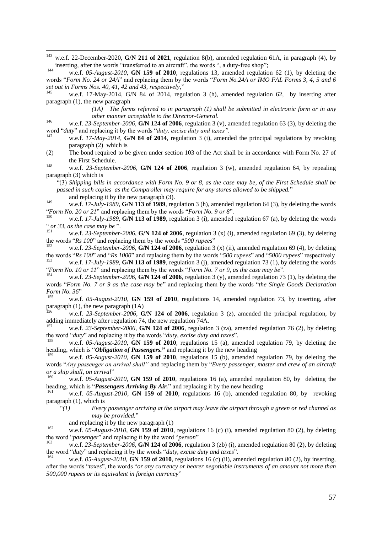143 w.e.f. 22-December-2020, **G/N 211 of 2021**, regulation 8(b), amended regulation 61A, in paragraph (4), by inserting, after the words "transferred to an aircraft", the words ", a duty-free shop";

w.e.f. 05-August-2010, **GN 159 of 2010**, regulations 13, amended regulation 62 (1), by deleting the words "Form No. 24 or 24A" and replacing them by the words "Form No.24A or IMO FAL Forms 3, 4, 5 and 6 set out in Forms Nos. 40, 41, 42 and 43, respectively,"

w.e.f. 17-May-2014, G/N 84 of 2014, regulation 3 (h), amended regulation 62, by inserting after paragraph (1), the new paragraph

> *(1A) The forms referred to in paragraph (1) shall be submitted in electronic form or in any other manner acceptable to the Director-General.*

- <sup>146</sup> w.e.f. *23-September-2006*, **G/N 124 of 2006**, regulation 3 (v), amended regulation 63 (3), by deleting the word "duty" and replacing it by the words "duty, excise duty and taxes".
- w.e.f. 17-May-2014, **G/N 84 of 2014**, regulation 3 (i), amended the principal regulations by revoking paragraph (2) which is

(2) The bond required to be given under section 103 of the Act shall be in accordance with Form No. 27 of the First Schedule.

<sup>148</sup> w.e.f. *23-September-2006*, **G/N 124 of 2006**, regulation 3 (w), amended regulation 64, by repealing paragraph (3) which is

―(3) *Shipping bills in accordance with Form No. 9 or 8, as the case may be, of the First Schedule shall be passed in such copies as the Comptroller may require for any stores allowed to be shipped.*‖

and replacing it by the new paragraph (3).

<sup>149</sup> w.e.f. *17-July-1989*, **G/N 113 of 1989**, regulation 3 (h), amended regulation 64 (3), by deleting the words "Form No. 20 or 21" and replacing them by the words "Form No. 9 or 8".<br><sup>150</sup> we a <sup>f</sup> 17 July 1080 C/N 113 of 1080, regulation 3 (i) amonded

w.e.f. 17-July-1989, **G/N 113 of 1989**, regulation 3 (i), amended regulation 67 (a), by deleting the words " or 33, as the case may be".<br> $\frac{151}{15}$  we f. 23 September.

w.e.f. 23-September-2006, **G/N 124 of 2006**, regulation 3 (x) (i), amended regulation 69 (3), by deleting the words " $Rs\,100$ " and replacing them by the words " $500\,rupees$ "

w.e.f. 23-September-2006, **G/N 124 of 2006**, regulation 3 (x) (ii), amended regulation 69 (4), by deleting the words " $Rs$  100" and " $Rs$  1000" and replacing them by the words "500 rupees" and "5000 rupees" respectively

<sup>153</sup> w.e.f. *17-July-1989*, **G/N 113 of 1989**, regulation 3 (j), amended regulation 73 (1), by deleting the words ―*Form No. 10 or 11*‖ and replacing them by the words ―*Form No. 7 or 9, as the case may be*‖.

w.e.f. 23-September-2006, **G/N 124 of 2006**, regulation 3 (y), amended regulation 73 (1), by deleting the words "Form No. 7 or 9 as the case may be" and replacing them by the words "the Single Goods Declaration" *Form No.* 36"

w.e.f. 05-August-2010, **GN 159 of 2010**, regulations 14, amended regulation 73, by inserting, after paragraph  $(1)$ , the new paragraph  $(1A)$ 

w.e.f. 23-September-2006, G/N 124 of 2006, regulation 3 (z), amended the principal regulation, by adding immediately after regulation 74, the new regulation 74A.

<sup>157</sup> w.e.f. *23-September-2006*, **G/N 124 of 2006**, regulation 3 (za), amended regulation 76 (2), by deleting the word "*duty*" and replacing it by the words "*duty, excise duty and taxes*".

w.e.f. 05-August-2010, **GN 159 of 2010**, regulations 15 (a), amended regulation 79, by deleting the heading, which is "*Obligation of Passengers*." and replacing it by the new heading

w.e.f. 05-August-2010, **GN 159 of 2010**, regulations 15 (b), amended regulation 79, by deleting the words "Any passenger on arrival shall" and replacing them by "Every passenger, master and crew of an aircraft *or a ship shall, on arrival*"

w.e.f. 05-August-2010, **GN 159 of 2010**, regulations 16 (a), amended regulation 80, by deleting the heading, which is "**Passengers Arriving By Air.**" and replacing it by the new heading  $\frac{161}{161}$ 

<sup>161</sup> w.e.f. *05-August-2010*, **GN 159 of 2010**, regulations 16 (b), amended regulation 80, by revoking paragraph (1), which is

―*(1) Every passenger arriving at the airport may leave the airport through a green or red channel as may be provided.*‖

and replacing it by the new paragraph (1)

<sup>162</sup> w.e.f. *05-August-2010*, **GN 159 of 2010**, regulations 16 (c) (i), amended regulation 80 (2), by deleting the word "passenger" and replacing it by the word "person"

w.e.f. 23-September-2006, **G/N 124 of 2006**, regulation 3 (zb) (i), amended regulation 80 (2), by deleting the word "*duty*" and replacing it by the words "*duty, excise duty and taxes*".

w.e.f. 05-August-2010, **GN 159 of 2010**, regulations 16 (c) (ii), amended regulation 80 (2), by inserting, after the words "taxes", the words "or any currency or bearer negotiable instruments of an amount not more than *500,000 rupees or its equivalent in foreign currency*‖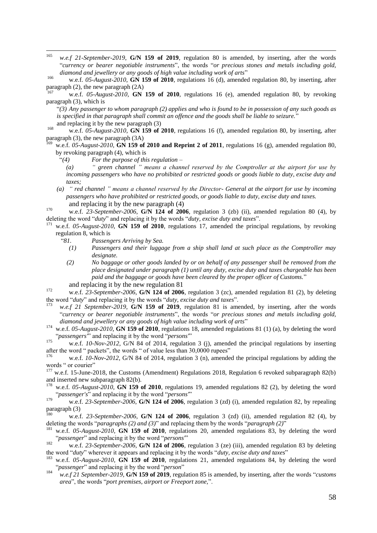165 w.e.f 21-September-2019, **G/N 159 of 2019**, regulation 80 is amended, by inserting, after the words ―*currency or bearer negotiable instruments*‖, the words ―*or precious stones and metals including gold,*  diamond and jewellery or any goods of high value including work of arts"

<sup>166</sup> w.e.f. *05-August-2010*, **GN 159 of 2010**, regulations 16 (d), amended regulation 80, by inserting, after paragraph (2), the new paragraph (2A)

<sup>167</sup> w.e.f. *05-August-2010*, **GN 159 of 2010**, regulations 16 (e), amended regulation 80, by revoking paragraph (3), which is

―*(3) Any passenger to whom paragraph (2) applies and who is found to be in possession of any such goods as*  is specified in that paragraph shall commit an offence and the goods shall be liable to seizure." and replacing it by the new paragraph (3)

<sup>168</sup> w.e.f. *05-August-2010*, **GN 159 of 2010**, regulations 16 (f), amended regulation 80, by inserting, after paragraph (3), the new paragraph (3A)

w.e.f. 05-August-2010, **GN 159 of 2010 and Reprint 2 of 2011**, regulations 16 (g), amended regulation 80, by revoking paragraph (4), which is

―*(4) For the purpose of this regulation –*

- *(a) " green channel " means a channel reserved by the Comptroller at the airport for use by incoming passengers who have no prohibited or restricted goods or goods liable to duty, excise duty and taxes;*
- *(a) " red channel " means a channel reserved by the Director- General at the airport for use by incoming passengers who have prohibited or restricted goods, or goods liable to duty, excise duty and taxes.* and replacing it by the new paragraph (4)

<sup>170</sup> w.e.f. *23-September-2006*, **G/N 124 of 2006**, regulation 3 (zb) (ii), amended regulation 80 (4), by deleting the word "*duty*" and replacing it by the words "*duty, excise duty and taxes*".

- w.e.f. 05-August-2010, **GN 159 of 2010**, regulations 17, amended the principal regulations, by revoking regulation 8, which is
	- ―*81. Passengers Arriving by Sea.*
		- *(1) Passengers and their luggage from a ship shall land at such place as the Comptroller may designate.*
		- *(2) No baggage or other goods landed by or on behalf of any passenger shall be removed from the place designated under paragraph (1) until any duty, excise duty and taxes chargeable has been paid and the baggage or goods have been cleared by the proper officer of Customs.*‖

and replacing it by the new regulation 81

- <sup>172</sup> w.e.f. *23-September-2006*, **G/N 124 of 2006**, regulation 3 (zc), amended regulation 81 (2), by deleting the word "*duty*" and replacing it by the words "*duty, excise duty and taxes*".
- w.e.f 21 September-2019, G/N 159 of 2019, regulation 81 is amended, by inserting, after the words ―*currency or bearer negotiable instruments*‖, the words ―*or precious stones and metals including gold,*  diamond and jewellery or any goods of high value including work of arts"
- <sup>174</sup> w.e.f. *05-August-2010*, **GN 159 of 2010**, regulations 18, amended regulations 81 (1) (a), by deleting the word "*passengers*" and replacing it by the word "*persons*"

w.e.f. *10-Nov-2012*, G/N 84 of 2014, regulation 3 (j), amended the principal regulations by inserting after the word " packets", the words " of value less than  $30,0000$  rupees"

w.e.f. *10-Nov-2012*, G/N 84 of 2014, regulation 3 (n), amended the principal regulations by adding the words " or courier"

- <sup>177</sup> w.e.f. 15-June-2018, the Customs (Amendment) Regulations 2018, Regulation 6 revoked subparagraph 82(b) and inserted new subparagraph 82(b).
- w.e.f. 05-August-2010, **GN 159 of 2010**, regulations 19, amended regulations 82 (2), by deleting the word "passenger's" and replacing it by the word "persons"

<sup>179</sup> w.e.f. *23-September-2006*, **G/N 124 of 2006**, regulation 3 (zd) (i), amended regulation 82, by repealing paragraph (3)

- <sup>180</sup> w.e.f. *23-September-2006,* **G/N 124 of 2006**, regulation 3 (zd) (ii), amended regulation 82 (4), by deleting the words "*paragraphs (2) and (3)*" and replacing them by the words "*paragraph (2)*"<br><sup>181</sup>
- <sup>181</sup> w.e.f. *05-August-2010*, **GN 159 of 2010**, regulations 20, amended regulations 83, by deleting the word "passenger" and replacing it by the word "persons"
- <sup>182</sup> w.e.f. *23-September-2006,* **G/N 124 of 2006**, regulation 3 (ze) (iii), amended regulation 83 by deleting the word "*duty*" wherever it appears and replacing it by the words "*duty, excise duty and taxes*"
- <sup>183</sup> w.e.f. *05-August-2010*, **GN 159 of 2010**, regulations 21, amended regulations 84, by deleting the word "passenger" and replacing it by the word "person"
- <sup>184</sup> *w.e.f* 21 September-2019, **G/N 159 of 2019**, regulation 85 is amended, by inserting, after the words "*customs area*", the words "*port premises, airport or Freeport zone*,".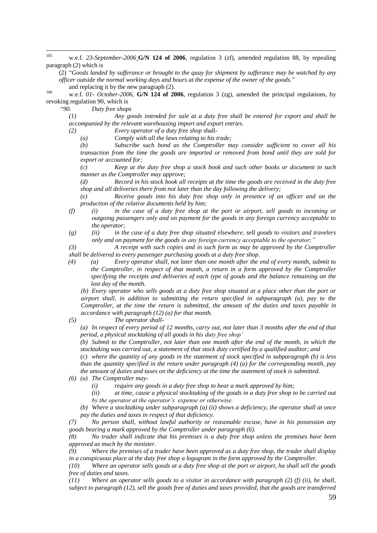185 w.e.f. 23-September-2006 G/N 124 of 2006, regulation 3 (zf), amended regulation 88, by repealing paragraph (2) which is

(2) ―*Goods landed by sufferance or brought to the quay for shipment by sufferance may be watched by any officer outside the normal working days and hours at the expense of the owner of the goods.*‖

and replacing it by the new paragraph (2).

<sup>186</sup> w.e.f. *01- October-2006*, **G/N 124 of 2006**, regulation 3 (zg), amended the principal regulations, by revoking regulation 90, which is

―*90. Duty free shops*

*(1) Any goods intended for sale at a duty free shall be entered for export and shall be accompanied by the relevant warehousing import and export entries.*

*(2) Every operator of a duty free shop* shall-

*(a) Comply with all the laws relating to his trade;*

*(b) Subscribe such bond as the Comptroller may consider sufficient to cover all his transaction from the time the goods are imported or removed from bond until they are sold for export or accounted for;*

*(c) Keep at the duty free shop a stock book and such other books or document in such manner as the Comptroller may approve;*

*(d) Record in his stock book all receipts at the time the goods are received in the duty free shop and all deliveries there from not later than the day following the delivery;*

*(e) Receive goods into his duty free shop only in presence of an officer and on the production of the relative documents held by him;*

- *(f) (i) in the case of a duty free shop at the port or airport, sell goods to incoming or outgoing passengers only and on payment for the goods in any foreign currency acceptable to the operator;*
- *(g) (ii) in the case of a duty free shop situated elsewhere, sell goods to visitors and travelers only and on payment for the goods in any foreign currency acceptable to the operator;"*

*(3) A receipt with such copies and in such form as may be approved by the Comptroller shall be delivered to every passenger purchasing goods at a duty free shop.*

*(4) (a) Every operator shall, not later than one month after the end of every month, submit to the Comptroller, in respect of that month, a return in a form approved by the Comptroller specifying the receipts and deliveries of each type of goods and the balance remaining on the last day of the month.*

*(b) Every operator who sells goods at a duty free shop situated at a place other than the port or airport shall, in addition to submitting the return specified in subparagraph (a), pay to the Comptroller, at the time the return is submitted, the amount of the duties and taxes payable in accordance with paragraph (12) (a) for that month.*

*(5) The operator shall-*

*(a) In respect of every period of 12 months, carry out, not later than 3 months after the end of that period, a physical stocktaking of all goods in his duty free shop'*

*(b) Submit to the Comptroller, not later than one month after the end of the month, in which the stocktaking was carried out, a statement of that stock duty certified by a qualified auditor; and*

*(c) where the quantity of any goods in the statement of stock specified in subparagraph (b) is less than the quantity specified in the return under paragraph (4) (a) for the corresponding month, pay the amount of duties and taxes on the deficiency at the time the statement of stock is submitted.*

*(6) (a) The Comptroller may-*

*(i) require any goods in a duty free shop to bear a mark approved by him;*

*(ii) at time, cause a physical stocktaking of the goods in a duty free shop to be carried out by the operator at the operator's expense or otherwise.*

*(b) Where a stocktaking under subparagraph (a) (ii) shows a deficiency, the operator shall at once pay the duties and taxes in respect of that deficiency.*

*(7) No person shall, without lawful authority or reasonable excuse, have in his possession any goods bearing a mark approved by the Comptroller under paragraph (6).*

*(8) No trader shall indicate that his premises is a duty free shop unless the premises have been approved as much by the minister.*

*(9) Where the premises of a trader have been approved as a duty free shop, the trader shall display in a conspicuous place at the duty free shop a logogram in the form approved by the Comptroller.*

*(10) Where an operator sells goods at a duty free shop at the port or airport, ha shall sell the goods free of duties and taxes.*

*(11) Where an operator sells goods to a visitor in accordance with paragraph (2) (f) (ii), he shall, subject to paragraph (12), sell the goods free of duties and taxes provided, that the goods are transferred*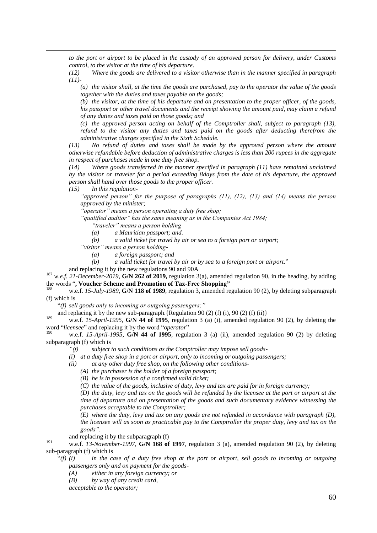*to the port or airport to be placed in the custody of an approved person for delivery, under Customs control, to the visitor at the time of his departure.*

*(12) Where the goods are delivered to a visitor otherwise than in the manner specified in paragraph (11)-*

*(a) the visitor shall, at the time the goods are purchased, pay to the operator the value of the goods together with the duties and taxes payable on the goods;*

*(b) the visitor, at the time of his departure and on presentation to the proper officer, of the goods, his passport or other travel documents and the receipt showing the amount paid, may claim a refund of any duties and taxes paid on those goods; and*

*(c) the approved person acting on behalf of the Comptroller shall, subject to paragraph (13), refund to the visitor any duties and taxes paid on the goods after deducting therefrom the administrative charges specified in the Sixth Schedule.*

*(13) No refund of duties and taxes shall be made by the approved person where the amount otherwise refundable before deduction of administrative charges is less than 200 rupees in the aggregate in respect of purchases made in one duty free shop.*

*(14) Where goods transferred in the manner specified in paragraph (11) have remained unclaimed by the visitor or traveler for a period exceeding 8days from the date of his departure, the approved person shall hand over those goods to the proper officer.*

*(15) In this regulation-*

 $\overline{a}$ 

*"approved person" for the purpose of paragraphs (11), (12), (13) and (14) means the person approved by the minister;*

*"operator" means a person operating a duty free shop;*

*"qualified auditor" has the same meaning as in the Companies Act 1984;*

*"traveler" means a person holding*

*(a) a Mauritian passport; and.*

*(b) a valid ticket for travel by air or sea to a foreign port or airport;* 

*"visitor" means a person holding-*

*(a) a foreign passport; and*

*(b) a valid ticket for travel by air or by sea to a foreign port or airport.*‖

and replacing it by the new regulations 90 and 90A

<sup>187</sup> w.e.f. 21-December-2019, **G/N 262 of 2019,** regulation 3(a), amended regulation 90, in the heading, by adding the words ―**, Voucher Scheme and Promotion of Tax-Free Shopping"**

w.e.f. 15-July-1989, **G/N 118 of 1989**, regulation 3, amended regulation 90 (2), by deleting subparagraph (f) which is

―*(f) sell goods only to incoming or outgoing passengers;"*

and replacing it by the new sub-paragraph. {Regulation 90 (2) (f) (i), 90 (2) (f) (ii)}

<sup>189</sup> w.e.f. *15-April-1995,* **G/N 44 of 1995**, regulation 3 (a) (i), amended regulation 90 (2), by deleting the word "licensee" and replacing it by the word "operator"

w.e.f. 15-April-1995, G/N 44 of 1995, regulation 3 (a) (ii), amended regulation 90 (2) by deleting subparagraph (f) which is

*"(f) subject to such conditions as the Comptroller may impose sell goods-*

*(i) at a duty free shop in a port or airport, only to incoming or outgoing passengers;*

*(ii) at any other duty free shop, on the following other conditions-*

*(A) the purchaser is the holder of a foreign passport;*

*(B) he is in possession of a confirmed valid ticket;*

*(C) the value of the goods, inclusive of duty, levy and tax are paid for in foreign currency;*

*(D) the duty, levy and tax on the goods will be refunded by the licensee at the port or airport at the time of departure and on presentation of the goods and such documentary evidence witnessing the purchases acceptable to the Comptroller;*

*(E) where the duty, levy and tax on any goods are not refunded in accordance with paragraph (D), the licensee will as soon as practicable pay to the Comptroller the proper duty, levy and tax on the goods".*

and replacing it by the subparagraph (f)

<sup>191</sup> w.e.f. *13-November-1997*, **G/N 168 of 1997**, regulation 3 (a), amended regulation 90 (2), by deleting sub-paragraph (f) which is

 $f'(f)(i)$  in the case of a duty free shop at the port or airport, sell goods to incoming or outgoing *passengers only and on payment for the goods-*

*(A) either in any foreign currency; or*

*(B) by way of any credit card,*

*acceptable to the operator;*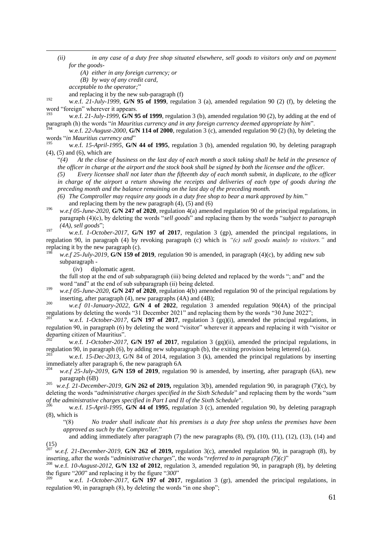*(ii) in any case of a duty free shop situated elsewhere, sell goods to visitors only and on payment for the goods-*

*(A) either in any foreign currency; or*

*(B) by way of any credit card,*

*acceptable to the operator;*"

 $\overline{a}$ 

and replacing it by the new sub-paragraph (f)

<sup>192</sup> w.e.f. *21-July-1999,* **G/N 95 of 1999**, regulation 3 (a), amended regulation 90 (2) (f), by deleting the word "foreign" wherever it appears.

w.e.f. 21-July-1999, **G/N 95 of 1999**, regulation 3 (b), amended regulation 90 (2), by adding at the end of paragraph (h) the words "*in Mauritius currency and in any foreign currency deemed appropriate by him*".

w.e.f. 22-August-2000, **G/N 114 of 2000**, regulation 3 (c), amended regulation 90 (2) (h), by deleting the words "*in Mauritius currency and*"<br><sup>195</sup> — *we f. 15 April 1995* C/N

w.e.f. 15-April-1995, **G/N 44 of 1995**, regulation 3 (b), amended regulation 90, by deleting paragraph (4), (5) and (6), which are

―*(4) At the close of business on the last day of each month a stock taking shall be held in the presence of the officer in charge at the airport and the stock book shall be signed by both the licensee and the officer.*

*(5) Every licensee shall not later than the fifteenth day of each month submit, in duplicate, to the officer*  in charge of the airport a return showing the receipts and deliveries of each type of goods during the *preceding month and the balance remaining on the last day of the preceding month.*

*(6) The Comptroller may require any goods in a duty free shop to bear a mark approved by him.*‖ and replacing them by the new paragraph  $(4)$ ,  $(5)$  and  $(6)$ 

<sup>196</sup> *w.e.f 05-June-2020*, **G/N 247 of 2020**, regulation 4(a) amended regulation 90 of the principal regulations, in paragraph (4)(c), by deleting the words "sell goods" and replacing them by the words "subject to paragraph (4A), sell goods";

<sup>197</sup> w.e.f. *1-October-2017*, **G/N 197 of 2017**, regulation 3 (gp), amended the principal regulations, in regulation 90, in paragraph (4) by revoking paragraph (c) which is *"(c) sell goods mainly to visitors."* and replacing it by the new paragraph (c).

 $w.e.f. 25-July-2019, G/N 159 of 2019, regulation 90 is amended, in paragraph (4)(c), by adding new sub$ subparagraph -

(iv) diplomatic agent.

the full stop at the end of sub subparagraph (iii) being deleted and replaced by the words "; and" and the word "and" at the end of sub subparagraph (ii) being deleted.

<sup>199</sup> *w.e.f 05-June-2020*, **G/N 247 of 2020**, regulation 4(b) amended regulation 90 of the principal regulations by inserting, after paragraph (4), new paragraphs (4A) and (4B);

<sup>200</sup> *w.e.f 01-January-2022*, **G/N 4 of 2022**, regulation 3 amended regulation 90(4A) of the principal regulations by deleting the words "31 December 2021" and replacing them by the words "30 June 2022";

<sup>201</sup> w.e.f. *1-October-2017*, **G/N 197 of 2017**, regulation 3 (gq)(i), amended the principal regulations, in regulation 90, in paragraph (6) by deleting the word "visitor" wherever it appears and replacing it with "visitor or departing citizen of Mauritius".

<sup>202</sup> w.e.f. *1-October-2017*, **G/N 197 of 2017**, regulation 3 (gq)(ii), amended the principal regulations, in regulation 90, in paragraph (6), by adding new subparagraph (b), the exiting provision being lettered (a).<br> $203$ 

w.e.f. *15-Dec-2013*, G/N 84 of 2014, regulation 3 (k), amended the principal regulations by inserting immediately after paragraph 6, the new paragraph 6A<br> $^{204}$  and  $^{6}$   $^{25}$   $^{11}$   $^{120}$   $^{16}$   $^{150}$   $^{6}$   $^{2010}$  argulatic

w.e.f 25-July-2019, **G/N 159 of 2019**, regulation 90 is amended, by inserting, after paragraph (6A), new paragraph (6B)

205 *w.e.f. 21-December-2019,* **G/N 262 of 2019,** regulation 3(b), amended regulation 90, in paragraph (7)(c), by deleting the words "*administrative charges specified in the Sixth Schedule*" and replacing them by the words "*sum of the administrative charges specified in Part I and II of the Sixth Schedule*".

w.e.f. 15-April-1995, **G/N 44 of 1995**, regulation 3 (c), amended regulation 90, by deleting paragraph (8), which is

―(8) *No trader shall indicate that his premises is a duty free shop unless the premises have been approved as such by the Comptroller.*‖

and adding immediately after paragraph  $(7)$  the new paragraphs  $(8)$ ,  $(9)$ ,  $(10)$ ,  $(11)$ ,  $(12)$ ,  $(13)$ ,  $(14)$  and (15)

<sup>207</sup> *w.e.f. 21-December-2019,* **G/N 262 of 2019,** regulation 3(c), amended regulation 90, in paragraph (8), by inserting, after the words "*administrative charges*", the words "referred to in paragraph (7)(c)" inserting, after the words "*administrative charges*", the words "*referred to in paragraph*  $(7)(c)$ "<br><sup>208</sup> w.e.f. *10-August-2012*, **G/N 132 of 2012**, regulation 3, amended regulation 90, in paragraph (8), by deleting

the figure "200" and replacing it by the figure "300"

<sup>209</sup> w.e.f. *1-October-2017*, **G/N 197 of 2017**, regulation 3 (gr), amended the principal regulations, in regulation 90, in paragraph (8), by deleting the words "in one shop";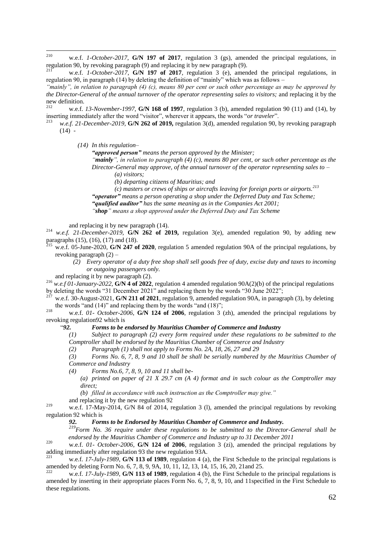210 w.e.f. *1-October-2017*, **G/N 197 of 2017**, regulation 3 (gs), amended the principal regulations, in regulation 90, by revoking paragraph (9) and replacing it by new paragraph (9).

w.e.f. *1-October-2017*, **G/N 197 of 2017**, regulation 3 (e), amended the principal regulations, in regulation 90, in paragraph (14) by deleting the definition of "mainly" which was as follows –

*"mainly", in relation to paragraph (4) (c), means 80 per cent or such other percentage as may be approved by the Director-General of the annual turnover of the operator representing sales to visitors;* and replacing it by the new definition.

<sup>212</sup> w.e.f. *13-November-1997*, **G/N 168 of 1997**, regulation 3 (b), amended regulation 90 (11) and (14), by inserting immediately after the word "visitor", wherever it appears, the words "*or traveler*".

<sup>213</sup> *w.e.f. 21-December-2019,* **G/N 262 of 2019,** regulation 3(d), amended regulation 90, by revoking paragraph  $(14)$  -

*(14) In this regulation–*

*"approved person" means the person approved by the Minister;*

*"mainly", in relation to paragraph (4) (c), means 80 per cent, or such other percentage as the Director-General may approve, of the annual turnover of the operator representing sales to –*

*(a) visitors;*

*(b) departing citizens of Mauritius; and* 

*(c) masters or crews of ships or aircrafts leaving for foreign ports or airports.<sup>213</sup> "operator" means a person operating a shop under the Deferred Duty and Tax Scheme; "qualified auditor" has the same meaning as in the Companies Act 2001; "shop" means a shop approved under the Deferred Duty and Tax Scheme*

and replacing it by new paragraph (14).

<sup>214</sup> *w.e.f. 21-December-2019,* **G/N 262 of 2019,** regulation 3(e), amended regulation 90, by adding new paragraphs (15), (16), (17) and (18).

w.e.f. 05-June-2020, **G/N 247 of 2020**, regulation 5 amended regulation 90A of the principal regulations, by revoking paragraph (2) –

*(2) Every operator of a duty free shop shall sell goods free of duty, excise duty and taxes to incoming or outgoing passengers only.*

and replacing it by new paragraph (2).

<sup>216</sup> *w.e.f 01-January-2022*, **G/N 4 of 2022**, regulation 4 amended regulation 90A(2)(b) of the principal regulations by deleting the words "31 December 2021" and replacing them by the words "30 June 2022";

<sup>217</sup> w.e.f. 30-August-2021, **G/N 211 of 2021**, regulation 9, amended regulation 90A, in paragraph (3), by deleting the words "and (14)" and replacing them by the words "and (18)";

<sup>218</sup> w.e.f. *01- October-2006*, **G/N 124 of 2006**, regulation 3 (zh), amended the principal regulations by revoking regulation92 which is

#### ―*92. Forms to be endorsed by Mauritius Chamber of Commerce and Industry*

*(1) Subject to paragraph (2) every form required under these regulations to be submitted to the Comptroller shall be endorsed by the Mauritius Chamber of Commerce and Industry*

*(2) Paragraph (1) shall not apply to Forms No. 2A, 18, 26, 27 and 29*

*(3) Forms No. 6, 7, 8, 9 and 10 shall be shall be serially numbered by the Mauritius Chamber of Commerce and Industry*

*(4) Forms No.6, 7, 8, 9, 10 and 11 shall be-*

*(a) printed on paper of 21 X 29.7 cm (A 4) format and in such colour as the Comptroller may direct;*

*(b) filled in accordance with such instruction as the Comptroller may give."*

and replacing it by the new regulation 92

<sup>219</sup> w.e.f. 17-May-2014, G/N 84 of 2014, regulation 3 (l), amended the principal regulations by revoking regulation 92 which is

*92. Forms to be Endorsed by Mauritius Chamber of Commerce and Industry.* 

*<sup>219</sup>Form No. 36 require under these regulations to be submitted to the Director-General shall be endorsed by the Mauritius Chamber of Commerce and Industry up to 31 December 2011*

<sup>220</sup> w.e.f. *01- October-2006*, **G/N 124 of 2006**, regulation 3 (zi), amended the principal regulations by adding immediately after regulation 93 the new regulation 93A.

w.e.f. 17-July-1989, **G/N 113 of 1989**, regulation 4 (a), the First Schedule to the principal regulations is amended by deleting Form No. 6, 7, 8, 9, 9A, 10, 11, 12, 13, 14, 15, 16, 20, 21 and 25.

w.e.f. 17-July-1989, **G/N 113 of 1989**, regulation 4 (b), the First Schedule to the principal regulations is amended by inserting in their appropriate places Form No. 6, 7, 8, 9, 10, and 11specified in the First Schedule to these regulations.